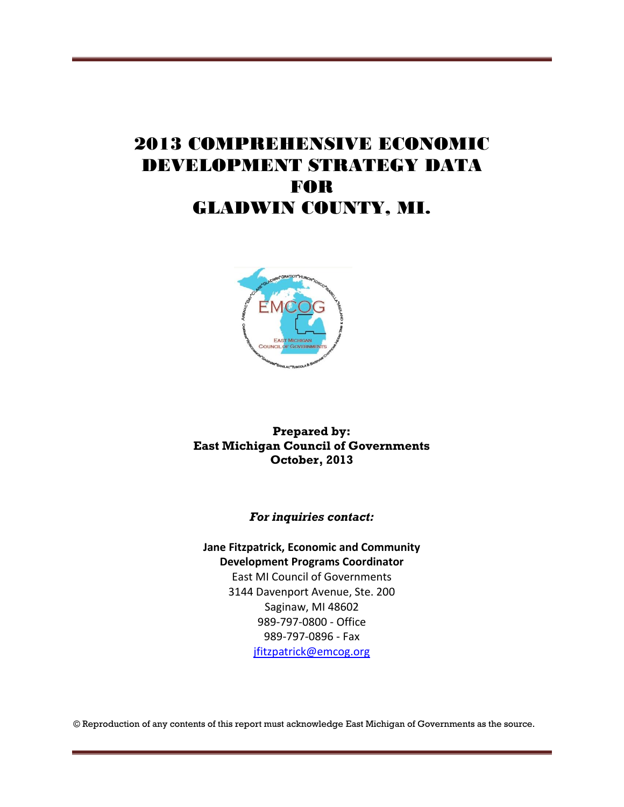## 2013 COMPREHENSIVE ECONOMIC DEVELOPMENT STRATEGY DATA FOR GLADWIN COUNTY, MI.



**Prepared by: East Michigan Council of Governments October, 2013**

*For inquiries contact:*

**Jane Fitzpatrick, Economic and Community Development Programs Coordinator** East MI Council of Governments 3144 Davenport Avenue, Ste. 200 Saginaw, MI 48602 989-797-0800 - Office 989-797-0896 - Fax [jfitzpatrick@emcog.org](mailto:jfitzpatrick@emcog.org)

© Reproduction of any contents of this report must acknowledge East Michigan of Governments as the source.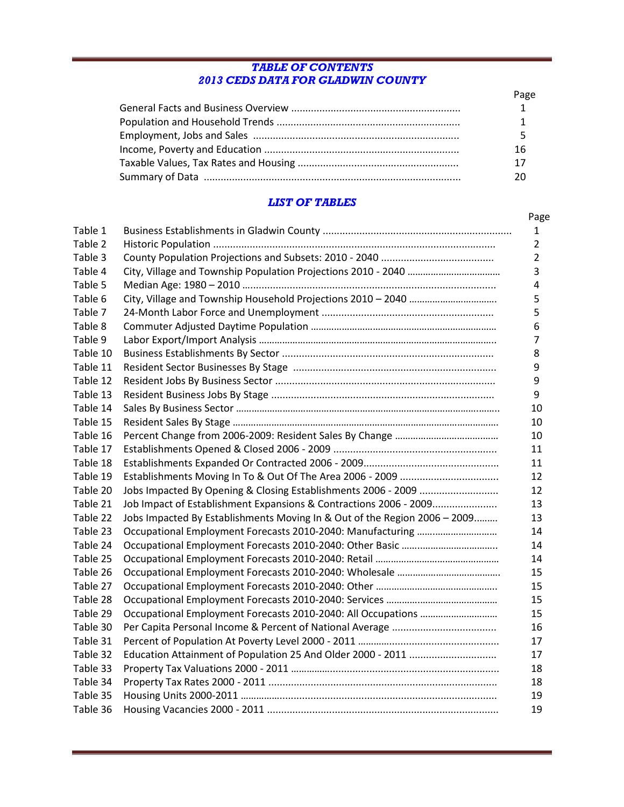#### *TABLE OF CONTENTS 2013 CEDS DATA FOR GLADWIN COUNTY*

| Page |
|------|
|      |
|      |
|      |
| 16   |
| 17   |
|      |

#### *LIST OF TABLES*

|          |                                                                           | Page           |
|----------|---------------------------------------------------------------------------|----------------|
| Table 1  |                                                                           | 1              |
| Table 2  |                                                                           | $\overline{2}$ |
| Table 3  |                                                                           | $\overline{2}$ |
| Table 4  |                                                                           | 3              |
| Table 5  |                                                                           | 4              |
| Table 6  |                                                                           | 5              |
| Table 7  |                                                                           | 5              |
| Table 8  |                                                                           | 6              |
| Table 9  |                                                                           | $\overline{7}$ |
| Table 10 |                                                                           | 8              |
| Table 11 |                                                                           | 9              |
| Table 12 |                                                                           | 9              |
| Table 13 |                                                                           | 9              |
| Table 14 |                                                                           | 10             |
| Table 15 |                                                                           | 10             |
| Table 16 |                                                                           | 10             |
| Table 17 |                                                                           | 11             |
| Table 18 |                                                                           | 11             |
| Table 19 |                                                                           | 12             |
| Table 20 | Jobs Impacted By Opening & Closing Establishments 2006 - 2009             | 12             |
| Table 21 | Job Impact of Establishment Expansions & Contractions 2006 - 2009         | 13             |
| Table 22 | Jobs Impacted By Establishments Moving In & Out of the Region 2006 - 2009 | 13             |
| Table 23 |                                                                           | 14             |
| Table 24 |                                                                           | 14             |
| Table 25 |                                                                           | 14             |
| Table 26 |                                                                           | 15             |
| Table 27 |                                                                           | 15             |
| Table 28 |                                                                           | 15             |
| Table 29 |                                                                           | 15             |
| Table 30 |                                                                           | 16             |
| Table 31 |                                                                           | 17             |
| Table 32 |                                                                           | 17             |
| Table 33 |                                                                           | 18             |
| Table 34 |                                                                           | 18             |
| Table 35 |                                                                           | 19             |
| Table 36 |                                                                           | 19             |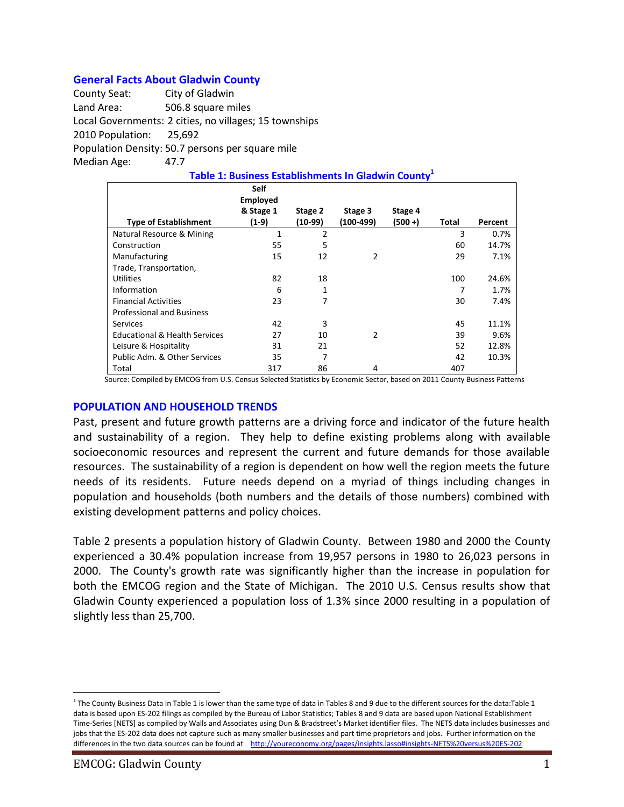#### **General Facts About Gladwin County**

County Seat: City of Gladwin Land Area: 506.8 square miles Local Governments: 2 cities, no villages; 15 townships 2010 Population: 25,692 Population Density: 50.7 persons per square mile Median Age: 47.7

|                                          | <b>Self</b><br><b>Employed</b> |                |             |            |       |         |  |  |  |
|------------------------------------------|--------------------------------|----------------|-------------|------------|-------|---------|--|--|--|
|                                          | & Stage 1                      | Stage 2        | Stage 3     | Stage 4    |       |         |  |  |  |
| <b>Type of Establishment</b>             | $(1-9)$                        | $(10-99)$      | $(100-499)$ | $(500 + )$ | Total | Percent |  |  |  |
| Natural Resource & Mining                | $\mathbf{1}$                   | $\overline{2}$ |             |            | 3     | 0.7%    |  |  |  |
| Construction                             | 55                             | 5              |             |            | 60    | 14.7%   |  |  |  |
| Manufacturing                            | 15                             | 12             | 2           |            | 29    | 7.1%    |  |  |  |
| Trade, Transportation,                   |                                |                |             |            |       |         |  |  |  |
| Utilities                                | 82                             | 18             |             |            | 100   | 24.6%   |  |  |  |
| Information                              | 6                              | 1              |             |            | 7     | 1.7%    |  |  |  |
| <b>Financial Activities</b>              | 23                             | 7              |             |            | 30    | 7.4%    |  |  |  |
| <b>Professional and Business</b>         |                                |                |             |            |       |         |  |  |  |
| Services                                 | 42                             | 3              |             |            | 45    | 11.1%   |  |  |  |
| <b>Educational &amp; Health Services</b> | 27                             | 10             | 2           |            | 39    | 9.6%    |  |  |  |
| Leisure & Hospitality                    | 31                             | 21             |             |            | 52    | 12.8%   |  |  |  |
| Public Adm. & Other Services             | 35                             | 7              |             |            | 42    | 10.3%   |  |  |  |
| Total                                    | 317                            | 86             | 4           |            | 407   |         |  |  |  |

**Table 1: Business Establishments In Gladwin County<sup>1</sup>**

Source: Compiled by EMCOG from U.S. Census Selected Statistics by Economic Sector, based on 2011 County Business Patterns

#### **POPULATION AND HOUSEHOLD TRENDS**

Past, present and future growth patterns are a driving force and indicator of the future health and sustainability of a region. They help to define existing problems along with available socioeconomic resources and represent the current and future demands for those available resources. The sustainability of a region is dependent on how well the region meets the future needs of its residents. Future needs depend on a myriad of things including changes in population and households (both numbers and the details of those numbers) combined with existing development patterns and policy choices.

Table 2 presents a population history of Gladwin County. Between 1980 and 2000 the County experienced a 30.4% population increase from 19,957 persons in 1980 to 26,023 persons in 2000. The County's growth rate was significantly higher than the increase in population for both the EMCOG region and the State of Michigan. The 2010 U.S. Census results show that Gladwin County experienced a population loss of 1.3% since 2000 resulting in a population of slightly less than 25,700.

 $\overline{a}$ 

<sup>&</sup>lt;sup>1</sup> The County Business Data in Table 1 is lower than the same type of data in Tables 8 and 9 due to the different sources for the data:Table 1 data is based upon ES-202 filings as compiled by the Bureau of Labor Statistics; Tables 8 and 9 data are based upon National Establishment Time-Series [NETS] as compiled by Walls and Associates using Dun & Bradstreet's Market identifier files. The NETS data includes businesses and jobs that the ES-202 data does not capture such as many smaller businesses and part time proprietors and jobs. Further information on the differences in the two data sources can be found at <http://youreconomy.org/pages/insights.lasso#insights-NETS%20versus%20ES-202>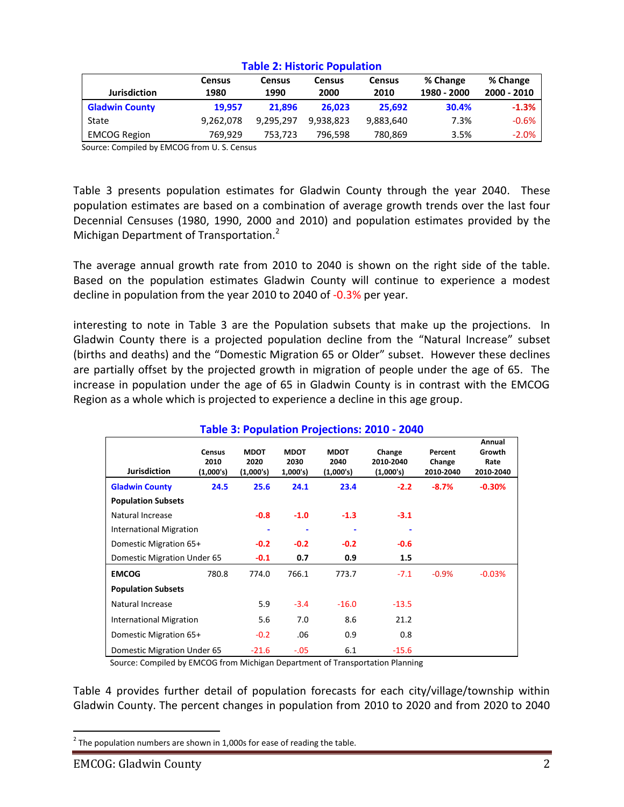|                       | <b>Census</b> | Census    | Census    | <b>Census</b> | % Change    | % Change    |  |  |
|-----------------------|---------------|-----------|-----------|---------------|-------------|-------------|--|--|
| <b>Jurisdiction</b>   | 1980          | 1990      | 2000      | 2010          | 1980 - 2000 | 2000 - 2010 |  |  |
| <b>Gladwin County</b> | 19.957        | 21.896    | 26.023    | 25.692        | 30.4%       | $-1.3%$     |  |  |
| State                 | 9.262.078     | 9.295.297 | 9.938.823 | 9,883,640     | 7.3%        | $-0.6%$     |  |  |
| <b>EMCOG Region</b>   | 769.929       | 753,723   | 796.598   | 780,869       | 3.5%        | $-2.0%$     |  |  |

#### **Table 2: Historic Population**

Source: Compiled by EMCOG from U. S. Census

Table 3 presents population estimates for Gladwin County through the year 2040. These population estimates are based on a combination of average growth trends over the last four Decennial Censuses (1980, 1990, 2000 and 2010) and population estimates provided by the Michigan Department of Transportation.<sup>2</sup>

The average annual growth rate from 2010 to 2040 is shown on the right side of the table. Based on the population estimates Gladwin County will continue to experience a modest decline in population from the year 2010 to 2040 of -0.3% per year.

interesting to note in Table 3 are the Population subsets that make up the projections. In Gladwin County there is a projected population decline from the "Natural Increase" subset (births and deaths) and the "Domestic Migration 65 or Older" subset. However these declines are partially offset by the projected growth in migration of people under the age of 65. The increase in population under the age of 65 in Gladwin County is in contrast with the EMCOG Region as a whole which is projected to experience a decline in this age group.

| Table 3: Population Projections: 2010 - 2040 |                                    |                                  |                                 |                                  |                                  |                                |                                       |  |
|----------------------------------------------|------------------------------------|----------------------------------|---------------------------------|----------------------------------|----------------------------------|--------------------------------|---------------------------------------|--|
| <b>Jurisdiction</b>                          | <b>Census</b><br>2010<br>(1,000's) | <b>MDOT</b><br>2020<br>(1,000's) | <b>MDOT</b><br>2030<br>1,000's) | <b>MDOT</b><br>2040<br>(1,000's) | Change<br>2010-2040<br>(1,000's) | Percent<br>Change<br>2010-2040 | Annual<br>Growth<br>Rate<br>2010-2040 |  |
| <b>Gladwin County</b>                        | 24.5                               | 25.6                             | 24.1                            | 23.4                             | $-2.2$                           | $-8.7%$                        | $-0.30%$                              |  |
| <b>Population Subsets</b>                    |                                    |                                  |                                 |                                  |                                  |                                |                                       |  |
| Natural Increase                             |                                    | $-0.8$                           | $-1.0$                          | $-1.3$                           | $-3.1$                           |                                |                                       |  |
| <b>International Migration</b>               |                                    | ۰                                | ٠                               |                                  |                                  |                                |                                       |  |
| Domestic Migration 65+                       |                                    | $-0.2$                           | $-0.2$                          | $-0.2$                           | $-0.6$                           |                                |                                       |  |
| Domestic Migration Under 65                  |                                    | $-0.1$                           | 0.7                             | 0.9                              | 1.5                              |                                |                                       |  |
| <b>EMCOG</b>                                 | 780.8                              | 774.0                            | 766.1                           | 773.7                            | $-7.1$                           | $-0.9%$                        | $-0.03%$                              |  |
| <b>Population Subsets</b>                    |                                    |                                  |                                 |                                  |                                  |                                |                                       |  |
| Natural Increase                             |                                    | 5.9                              | $-3.4$                          | $-16.0$                          | $-13.5$                          |                                |                                       |  |
| <b>International Migration</b>               |                                    | 5.6                              | 7.0                             | 8.6                              | 21.2                             |                                |                                       |  |
| Domestic Migration 65+                       |                                    | $-0.2$                           | .06                             | 0.9                              | 0.8                              |                                |                                       |  |
| Domestic Migration Under 65                  |                                    | $-21.6$                          | $-.05$                          | 6.1                              | $-15.6$                          |                                |                                       |  |

### **Table 3: Population Projections: 2010 - 2040**

Source: Compiled by EMCOG from Michigan Department of Transportation Planning

Table 4 provides further detail of population forecasts for each city/village/township within Gladwin County. The percent changes in population from 2010 to 2020 and from 2020 to 2040

 $\overline{a}$ 

 $^{2}$  The population numbers are shown in 1,000s for ease of reading the table.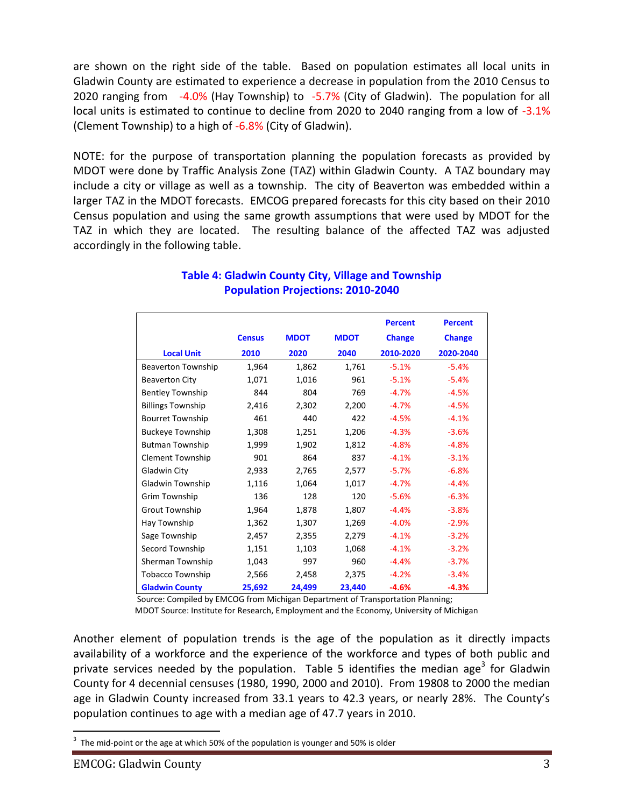are shown on the right side of the table. Based on population estimates all local units in Gladwin County are estimated to experience a decrease in population from the 2010 Census to 2020 ranging from -4.0% (Hay Township) to -5.7% (City of Gladwin). The population for all local units is estimated to continue to decline from 2020 to 2040 ranging from a low of -3.1% (Clement Township) to a high of -6.8% (City of Gladwin).

NOTE: for the purpose of transportation planning the population forecasts as provided by MDOT were done by Traffic Analysis Zone (TAZ) within Gladwin County. A TAZ boundary may include a city or village as well as a township. The city of Beaverton was embedded within a larger TAZ in the MDOT forecasts. EMCOG prepared forecasts for this city based on their 2010 Census population and using the same growth assumptions that were used by MDOT for the TAZ in which they are located. The resulting balance of the affected TAZ was adjusted accordingly in the following table.

|                           |               |             |             | <b>Percent</b> | <b>Percent</b> |
|---------------------------|---------------|-------------|-------------|----------------|----------------|
|                           | <b>Census</b> | <b>MDOT</b> | <b>MDOT</b> | <b>Change</b>  | <b>Change</b>  |
| <b>Local Unit</b>         | 2010          | 2020        | 2040        | 2010-2020      | 2020-2040      |
| <b>Beaverton Township</b> | 1,964         | 1,862       | 1,761       | $-5.1%$        | $-5.4%$        |
| <b>Beaverton City</b>     | 1,071         | 1,016       | 961         | $-5.1%$        | $-5.4%$        |
| <b>Bentley Township</b>   | 844           | 804         | 769         | $-4.7%$        | $-4.5%$        |
| <b>Billings Township</b>  | 2,416         | 2,302       | 2,200       | $-4.7%$        | $-4.5%$        |
| <b>Bourret Township</b>   | 461           | 440         | 422         | $-4.5%$        | $-4.1%$        |
| <b>Buckeye Township</b>   | 1,308         | 1,251       | 1,206       | $-4.3%$        | $-3.6%$        |
| <b>Butman Township</b>    | 1,999         | 1,902       | 1,812       | $-4.8%$        | $-4.8%$        |
| <b>Clement Township</b>   | 901           | 864         | 837         | $-4.1%$        | $-3.1%$        |
| Gladwin City              | 2,933         | 2,765       | 2,577       | $-5.7%$        | $-6.8%$        |
| Gladwin Township          | 1,116         | 1,064       | 1,017       | $-4.7%$        | $-4.4%$        |
| Grim Township             | 136           | 128         | 120         | $-5.6%$        | $-6.3%$        |
| <b>Grout Township</b>     | 1,964         | 1,878       | 1,807       | $-4.4%$        | $-3.8%$        |
| Hay Township              | 1,362         | 1,307       | 1,269       | $-4.0%$        | $-2.9%$        |
| Sage Township             | 2,457         | 2,355       | 2,279       | $-4.1%$        | $-3.2%$        |
| Secord Township           | 1,151         | 1,103       | 1,068       | $-4.1%$        | $-3.2%$        |
| Sherman Township          | 1,043         | 997         | 960         | $-4.4%$        | $-3.7%$        |
| <b>Tobacco Township</b>   | 2,566         | 2,458       | 2,375       | $-4.2%$        | $-3.4%$        |
| <b>Gladwin County</b>     | 25,692        | 24,499      | 23,440      | $-4.6%$        | $-4.3%$        |

#### **Table 4: Gladwin County City, Village and Township Population Projections: 2010-2040**

Source: Compiled by EMCOG from Michigan Department of Transportation Planning;

MDOT Source: Institute for Research, Employment and the Economy, University of Michigan

Another element of population trends is the age of the population as it directly impacts availability of a workforce and the experience of the workforce and types of both public and private services needed by the population. Table 5 identifies the median age<sup>3</sup> for Gladwin County for 4 decennial censuses (1980, 1990, 2000 and 2010). From 19808 to 2000 the median age in Gladwin County increased from 33.1 years to 42.3 years, or nearly 28%. The County's population continues to age with a median age of 47.7 years in 2010.

 $\overline{a}$  $3$  The mid-point or the age at which 50% of the population is younger and 50% is older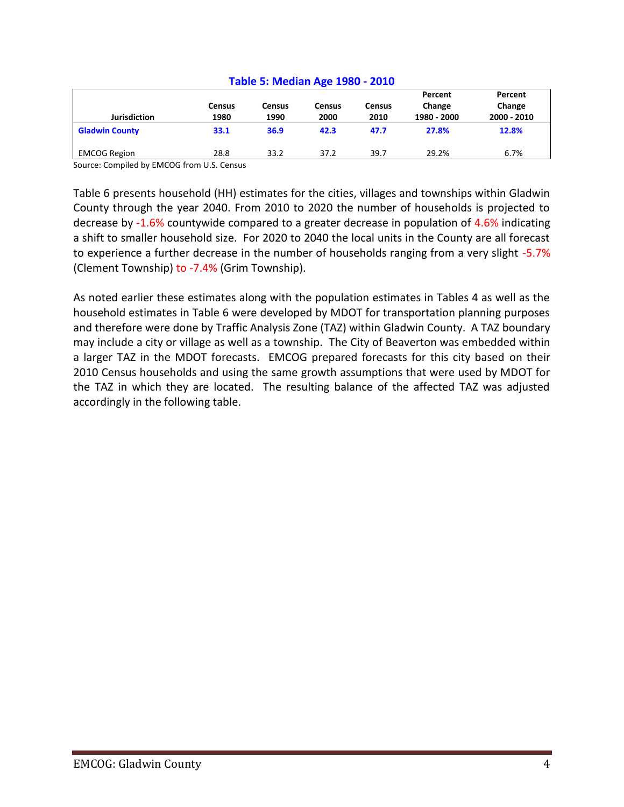| Table 5: Median Age 1980 - 2010 |                |                       |                       |                       |                                  |                                  |  |
|---------------------------------|----------------|-----------------------|-----------------------|-----------------------|----------------------------------|----------------------------------|--|
| <b>Jurisdiction</b>             | Census<br>1980 | <b>Census</b><br>1990 | <b>Census</b><br>2000 | <b>Census</b><br>2010 | Percent<br>Change<br>1980 - 2000 | Percent<br>Change<br>2000 - 2010 |  |
| <b>Gladwin County</b>           | 33.1           | 36.9                  | 42.3                  | 47.7                  | 27.8%                            | 12.8%                            |  |
| <b>EMCOG Region</b>             | 28.8           | 33.2                  | 37.2                  | 39.7                  | 29.2%                            | 6.7%                             |  |

#### **Table 5: Median Age 1980 - 2010**

Source: Compiled by EMCOG from U.S. Census

Table 6 presents household (HH) estimates for the cities, villages and townships within Gladwin County through the year 2040. From 2010 to 2020 the number of households is projected to decrease by -1.6% countywide compared to a greater decrease in population of 4.6% indicating a shift to smaller household size. For 2020 to 2040 the local units in the County are all forecast to experience a further decrease in the number of households ranging from a very slight -5.7% (Clement Township) to -7.4% (Grim Township).

As noted earlier these estimates along with the population estimates in Tables 4 as well as the household estimates in Table 6 were developed by MDOT for transportation planning purposes and therefore were done by Traffic Analysis Zone (TAZ) within Gladwin County. A TAZ boundary may include a city or village as well as a township. The City of Beaverton was embedded within a larger TAZ in the MDOT forecasts. EMCOG prepared forecasts for this city based on their 2010 Census households and using the same growth assumptions that were used by MDOT for the TAZ in which they are located. The resulting balance of the affected TAZ was adjusted accordingly in the following table.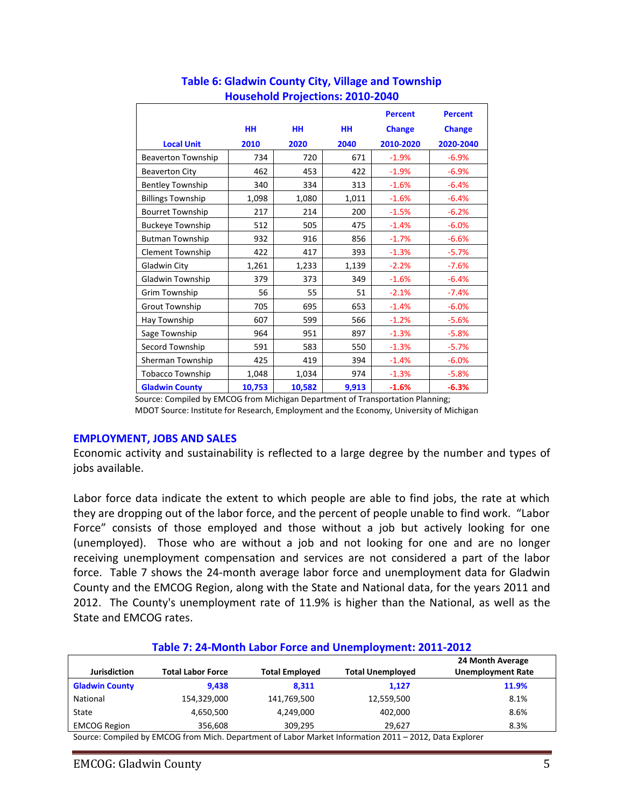|                           |           |        |           | <b>Percent</b> | <b>Percent</b> |
|---------------------------|-----------|--------|-----------|----------------|----------------|
|                           | <b>HH</b> | HH     | <b>HH</b> | <b>Change</b>  | <b>Change</b>  |
| <b>Local Unit</b>         | 2010      | 2020   | 2040      | 2010-2020      | 2020-2040      |
| <b>Beaverton Township</b> | 734       | 720    | 671       | $-1.9%$        | $-6.9%$        |
| <b>Beaverton City</b>     | 462       | 453    | 422       | $-1.9%$        | $-6.9%$        |
| <b>Bentley Township</b>   | 340       | 334    | 313       | $-1.6%$        | $-6.4%$        |
| <b>Billings Township</b>  | 1,098     | 1,080  | 1,011     | $-1.6%$        | $-6.4%$        |
| <b>Bourret Township</b>   | 217       | 214    | 200       | $-1.5%$        | $-6.2%$        |
| <b>Buckeye Township</b>   | 512       | 505    | 475       | $-1.4%$        | $-6.0%$        |
| <b>Butman Township</b>    | 932       | 916    | 856       | $-1.7%$        | $-6.6%$        |
| <b>Clement Township</b>   | 422       | 417    | 393       | $-1.3%$        | $-5.7%$        |
| Gladwin City              | 1,261     | 1,233  | 1,139     | $-2.2%$        | $-7.6%$        |
| Gladwin Township          | 379       | 373    | 349       | $-1.6%$        | $-6.4%$        |
| Grim Township             | 56        | 55     | 51        | $-2.1%$        | $-7.4%$        |
| <b>Grout Township</b>     | 705       | 695    | 653       | $-1.4%$        | $-6.0%$        |
| Hay Township              | 607       | 599    | 566       | $-1.2%$        | $-5.6%$        |
| Sage Township             | 964       | 951    | 897       | $-1.3%$        | $-5.8%$        |
| Secord Township           | 591       | 583    | 550       | $-1.3%$        | $-5.7%$        |
| Sherman Township          | 425       | 419    | 394       | $-1.4%$        | $-6.0%$        |
| <b>Tobacco Township</b>   | 1,048     | 1,034  | 974       | $-1.3%$        | $-5.8%$        |
| <b>Gladwin County</b>     | 10,753    | 10,582 | 9,913     | $-1.6%$        | $-6.3%$        |

#### **Table 6: Gladwin County City, Village and Township Household Projections: 2010-2040**

 Source: Compiled by EMCOG from Michigan Department of Transportation Planning; MDOT Source: Institute for Research, Employment and the Economy, University of Michigan

#### **EMPLOYMENT, JOBS AND SALES**

Economic activity and sustainability is reflected to a large degree by the number and types of jobs available.

Labor force data indicate the extent to which people are able to find jobs, the rate at which they are dropping out of the labor force, and the percent of people unable to find work. "Labor Force" consists of those employed and those without a job but actively looking for one (unemployed). Those who are without a job and not looking for one and are no longer receiving unemployment compensation and services are not considered a part of the labor force. Table 7 shows the 24-month average labor force and unemployment data for Gladwin County and the EMCOG Region, along with the State and National data, for the years 2011 and 2012. The County's unemployment rate of 11.9% is higher than the National, as well as the State and EMCOG rates.

#### **Table 7: 24-Month Labor Force and Unemployment: 2011-2012 Jurisdiction Total Labor Force Total Employed Total Unemployed 24 Month Average Unemployment Rate Gladwin County 9,438 8,311 1,127 11.9%** National 154,329,000 141,769,500 12,559,500 8.1% State 4,650,500 4,249,000 402,000 8.6% EMCOG Region 356,608 309,295 29,627 309,295 3.3%

Source: Compiled by EMCOG from Mich. Department of Labor Market Information 2011 – 2012, Data Explorer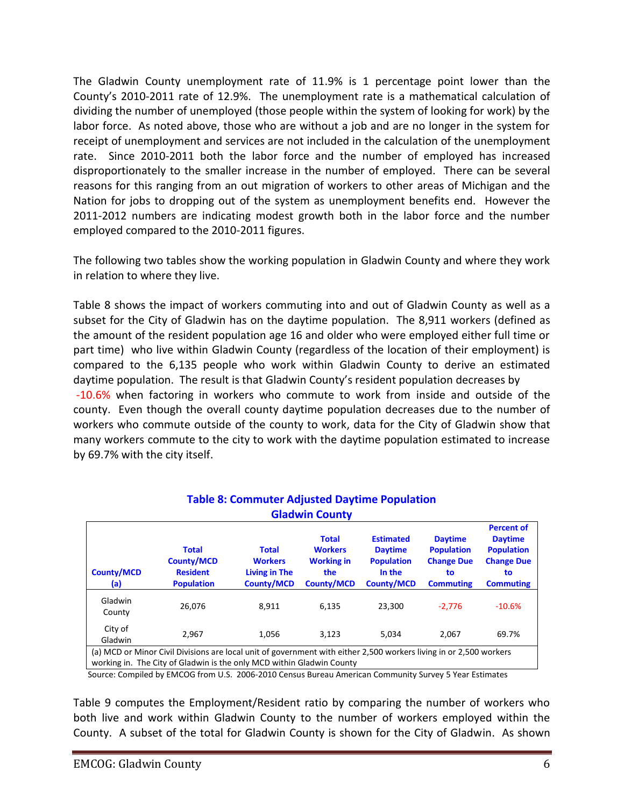The Gladwin County unemployment rate of 11.9% is 1 percentage point lower than the County's 2010-2011 rate of 12.9%. The unemployment rate is a mathematical calculation of dividing the number of unemployed (those people within the system of looking for work) by the labor force. As noted above, those who are without a job and are no longer in the system for receipt of unemployment and services are not included in the calculation of the unemployment rate. Since 2010-2011 both the labor force and the number of employed has increased disproportionately to the smaller increase in the number of employed. There can be several reasons for this ranging from an out migration of workers to other areas of Michigan and the Nation for jobs to dropping out of the system as unemployment benefits end. However the 2011-2012 numbers are indicating modest growth both in the labor force and the number employed compared to the 2010-2011 figures.

The following two tables show the working population in Gladwin County and where they work in relation to where they live.

Table 8 shows the impact of workers commuting into and out of Gladwin County as well as a subset for the City of Gladwin has on the daytime population. The 8,911 workers (defined as the amount of the resident population age 16 and older who were employed either full time or part time) who live within Gladwin County (regardless of the location of their employment) is compared to the 6,135 people who work within Gladwin County to derive an estimated daytime population. The result is that Gladwin County's resident population decreases by -10.6% when factoring in workers who commute to work from inside and outside of the county. Even though the overall county daytime population decreases due to the number of workers who commute outside of the county to work, data for the City of Gladwin show that many workers commute to the city to work with the daytime population estimated to increase by 69.7% with the city itself.

| <b>Gladwin County</b>                                                                                                                                                                       |                                                                           |                                                                             |                                                                                 |                                                                                        |                                                                                    |                                                                                                         |  |  |
|---------------------------------------------------------------------------------------------------------------------------------------------------------------------------------------------|---------------------------------------------------------------------------|-----------------------------------------------------------------------------|---------------------------------------------------------------------------------|----------------------------------------------------------------------------------------|------------------------------------------------------------------------------------|---------------------------------------------------------------------------------------------------------|--|--|
| <b>County/MCD</b><br>(a)                                                                                                                                                                    | <b>Total</b><br><b>County/MCD</b><br><b>Resident</b><br><b>Population</b> | <b>Total</b><br><b>Workers</b><br><b>Living in The</b><br><b>County/MCD</b> | <b>Total</b><br><b>Workers</b><br><b>Working in</b><br>the<br><b>County/MCD</b> | <b>Estimated</b><br><b>Daytime</b><br><b>Population</b><br>In the<br><b>County/MCD</b> | <b>Daytime</b><br><b>Population</b><br><b>Change Due</b><br>to<br><b>Commuting</b> | <b>Percent of</b><br><b>Daytime</b><br><b>Population</b><br><b>Change Due</b><br>to<br><b>Commuting</b> |  |  |
| Gladwin<br>County                                                                                                                                                                           | 26,076                                                                    | 8.911                                                                       | 6.135                                                                           | 23.300                                                                                 | $-2.776$                                                                           | $-10.6%$                                                                                                |  |  |
| City of<br>Gladwin                                                                                                                                                                          | 2.967                                                                     | 1.056                                                                       | 3.123                                                                           | 5.034                                                                                  | 2,067                                                                              | 69.7%                                                                                                   |  |  |
| (a) MCD or Minor Civil Divisions are local unit of government with either 2,500 workers living in or 2,500 workers<br>working in. The City of Gladwin is the only MCD within Gladwin County |                                                                           |                                                                             |                                                                                 |                                                                                        |                                                                                    |                                                                                                         |  |  |

# **Table 8: Commuter Adjusted Daytime Population**

Source: Compiled by EMCOG from U.S. 2006-2010 Census Bureau American Community Survey 5 Year Estimates

Table 9 computes the Employment/Resident ratio by comparing the number of workers who both live and work within Gladwin County to the number of workers employed within the County. A subset of the total for Gladwin County is shown for the City of Gladwin. As shown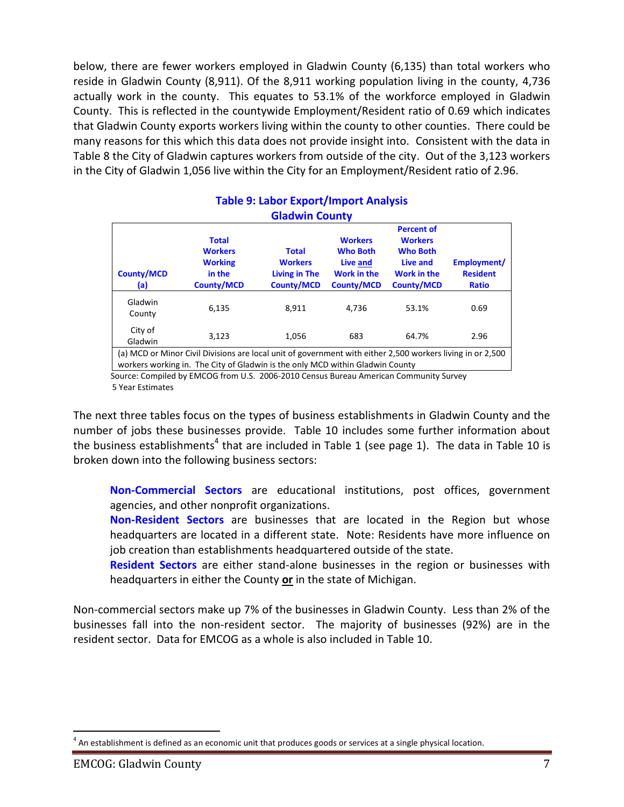below, there are fewer workers employed in Gladwin County (6,135) than total workers who reside in Gladwin County (8,911). Of the 8,911 working population living in the county, 4,736 actually work in the county. This equates to 53.1% of the workforce employed in Gladwin County. This is reflected in the countywide Employment/Resident ratio of 0.69 which indicates that Gladwin County exports workers living within the county to other counties. There could be many reasons for this which this data does not provide insight into. Consistent with the data in Table 8 the City of Gladwin captures workers from outside of the city. Out of the 3,123 workers in the City of Gladwin 1,056 live within the City for an Employment/Resident ratio of 2.96.

| Giadwin County                                                                                                                                                                              |                                                                                 |                                                                             |                                                                                          |                                                                                                               |                                                |  |  |  |
|---------------------------------------------------------------------------------------------------------------------------------------------------------------------------------------------|---------------------------------------------------------------------------------|-----------------------------------------------------------------------------|------------------------------------------------------------------------------------------|---------------------------------------------------------------------------------------------------------------|------------------------------------------------|--|--|--|
| <b>County/MCD</b><br>(a)                                                                                                                                                                    | <b>Total</b><br><b>Workers</b><br><b>Working</b><br>in the<br><b>County/MCD</b> | <b>Total</b><br><b>Workers</b><br><b>Living in The</b><br><b>County/MCD</b> | <b>Workers</b><br><b>Who Both</b><br>Live and<br><b>Work in the</b><br><b>County/MCD</b> | <b>Percent of</b><br><b>Workers</b><br><b>Who Both</b><br>Live and<br><b>Work in the</b><br><b>County/MCD</b> | Employment/<br><b>Resident</b><br><b>Ratio</b> |  |  |  |
| Gladwin<br>County                                                                                                                                                                           | 6,135                                                                           | 8,911                                                                       | 4.736                                                                                    | 53.1%                                                                                                         | 0.69                                           |  |  |  |
| City of<br>Gladwin                                                                                                                                                                          | 3,123                                                                           | 1.056                                                                       | 683                                                                                      | 64.7%                                                                                                         | 2.96                                           |  |  |  |
| (a) MCD or Minor Civil Divisions are local unit of government with either 2,500 workers living in or 2,500<br>workers working in. The City of Gladwin is the only MCD within Gladwin County |                                                                                 |                                                                             |                                                                                          |                                                                                                               |                                                |  |  |  |

#### **Table 9: Labor Export/Import Analysis Gladwin County**

 Source: Compiled by EMCOG from U.S. 2006-2010 Census Bureau American Community Survey 5 Year Estimates

The next three tables focus on the types of business establishments in Gladwin County and the number of jobs these businesses provide. Table 10 includes some further information about the business establishments<sup>4</sup> that are included in Table 1 (see page 1). The data in Table 10 is broken down into the following business sectors:

**Non-Commercial Sectors** are educational institutions, post offices, government agencies, and other nonprofit organizations.

**Non-Resident Sectors** are businesses that are located in the Region but whose headquarters are located in a different state. Note: Residents have more influence on job creation than establishments headquartered outside of the state.

**Resident Sectors** are either stand-alone businesses in the region or businesses with headquarters in either the County **or** in the state of Michigan.

Non-commercial sectors make up 7% of the businesses in Gladwin County. Less than 2% of the businesses fall into the non-resident sector. The majority of businesses (92%) are in the resident sector. Data for EMCOG as a whole is also included in Table 10.

 $\overline{a}$  $<sup>4</sup>$  An establishment is defined as an economic unit that produces goods or services at a single physical location.</sup>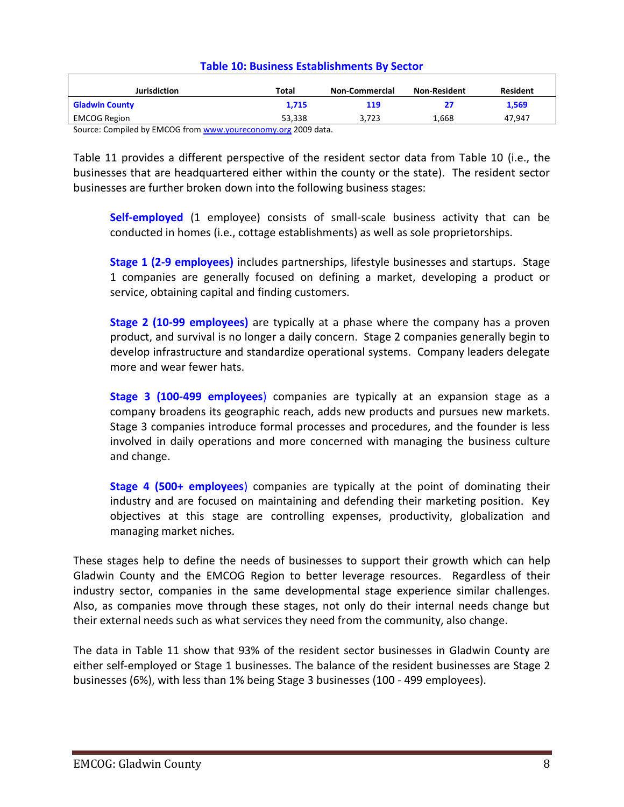| <b>Jurisdiction</b>                                          | Total  | <b>Non-Commercial</b> | <b>Non-Resident</b> | <b>Resident</b> |
|--------------------------------------------------------------|--------|-----------------------|---------------------|-----------------|
| <b>Gladwin County</b>                                        | 1.715  | 119                   |                     | 1,569           |
| <b>EMCOG Region</b>                                          | 53.338 | 3.723                 | 1.668               | 47.947          |
| Source: Compiled by EMCOG from www.voureconomy.org 2009 data |        |                       |                     |                 |

#### **Table 10: Business Establishments By Sector**

Source: Compiled by EMCOG from <u>www.youreconomy.org</u> 2009 data.

Table 11 provides a different perspective of the resident sector data from Table 10 (i.e., the businesses that are headquartered either within the county or the state). The resident sector businesses are further broken down into the following business stages:

**Self-employed** (1 employee) consists of small-scale business activity that can be conducted in homes (i.e., cottage establishments) as well as sole proprietorships.

**Stage 1 (2-9 employees)** includes partnerships, lifestyle businesses and startups. Stage 1 companies are generally focused on defining a market, developing a product or service, obtaining capital and finding customers.

**Stage 2 (10-99 employees)** are typically at a phase where the company has a proven product, and survival is no longer a daily concern. Stage 2 companies generally begin to develop infrastructure and standardize operational systems. Company leaders delegate more and wear fewer hats.

**Stage 3 (100-499 employees**) companies are typically at an expansion stage as a company broadens its geographic reach, adds new products and pursues new markets. Stage 3 companies introduce formal processes and procedures, and the founder is less involved in daily operations and more concerned with managing the business culture and change.

**Stage 4 (500+ employees**) companies are typically at the point of dominating their industry and are focused on maintaining and defending their marketing position. Key objectives at this stage are controlling expenses, productivity, globalization and managing market niches.

These stages help to define the needs of businesses to support their growth which can help Gladwin County and the EMCOG Region to better leverage resources. Regardless of their industry sector, companies in the same developmental stage experience similar challenges. Also, as companies move through these stages, not only do their internal needs change but their external needs such as what services they need from the community, also change.

The data in Table 11 show that 93% of the resident sector businesses in Gladwin County are either self-employed or Stage 1 businesses. The balance of the resident businesses are Stage 2 businesses (6%), with less than 1% being Stage 3 businesses (100 - 499 employees).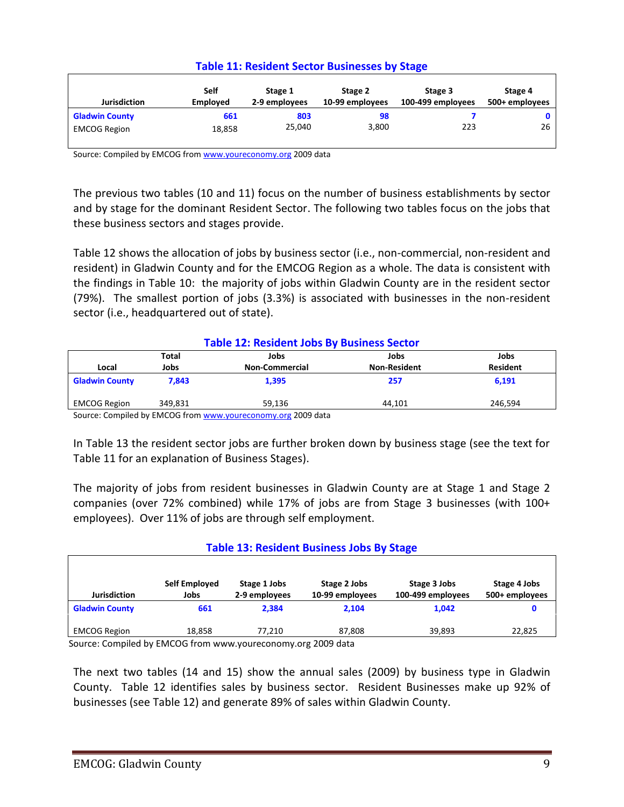| <b>Table 11: Resident Sector Businesses by Stage</b> |  |  |
|------------------------------------------------------|--|--|
|------------------------------------------------------|--|--|

| <b>Jurisdiction</b>   | Self<br><b>Employed</b> | Stage 1<br>2-9 employees | Stage 2<br>10-99 employees | Stage 3<br>100-499 employees | Stage 4<br>500+ employees |
|-----------------------|-------------------------|--------------------------|----------------------------|------------------------------|---------------------------|
| <b>Gladwin County</b> | 661                     | 803                      | 98                         |                              |                           |
| <b>EMCOG Region</b>   | 18,858                  | 25,040                   | 3,800                      | 223                          | 26                        |

Source: Compiled by EMCOG fro[m www.youreconomy.org](http://www.youreconomy.org/) 2009 data

The previous two tables (10 and 11) focus on the number of business establishments by sector and by stage for the dominant Resident Sector. The following two tables focus on the jobs that these business sectors and stages provide.

Table 12 shows the allocation of jobs by business sector (i.e., non-commercial, non-resident and resident) in Gladwin County and for the EMCOG Region as a whole. The data is consistent with the findings in Table 10: the majority of jobs within Gladwin County are in the resident sector (79%). The smallest portion of jobs (3.3%) is associated with businesses in the non-resident sector (i.e., headquartered out of state).

| <b>Table 12: Resident Jobs By Business Sector</b> |         |                                                              |                     |                 |  |  |
|---------------------------------------------------|---------|--------------------------------------------------------------|---------------------|-----------------|--|--|
|                                                   | Total   | Jobs                                                         | Jobs                | Jobs            |  |  |
| Local                                             | Jobs    | <b>Non-Commercial</b>                                        | <b>Non-Resident</b> | <b>Resident</b> |  |  |
| <b>Gladwin County</b>                             | 7.843   | 1.395                                                        | 257                 | 6.191           |  |  |
| <b>EMCOG Region</b>                               | 349.831 | 59.136                                                       | 44.101              | 246.594         |  |  |
|                                                   |         | Source: Compiled by EMCOG from www.voureconomy.org 2009 data |                     |                 |  |  |

Source: Compiled by EMCOG fro[m www.youreconomy.org](http://www.youreconomy.org/) 2009 data

In Table 13 the resident sector jobs are further broken down by business stage (see the text for Table 11 for an explanation of Business Stages).

The majority of jobs from resident businesses in Gladwin County are at Stage 1 and Stage 2 companies (over 72% combined) while 17% of jobs are from Stage 3 businesses (with 100+ employees). Over 11% of jobs are through self employment.

#### **Table 13: Resident Business Jobs By Stage**

| <b>Jurisdiction</b>   | Self Employed<br>Jobs | Stage 1 Jobs<br>2-9 employees | Stage 2 Jobs<br>10-99 employees | Stage 3 Jobs<br>100-499 employees | Stage 4 Jobs<br>500+ employees |
|-----------------------|-----------------------|-------------------------------|---------------------------------|-----------------------------------|--------------------------------|
| <b>Gladwin County</b> | 661                   | 2.384                         | 2.104                           | 1.042                             |                                |
| <b>EMCOG Region</b>   | 18,858                | 77.210                        | 87,808                          | 39.893                            | 22,825                         |
| $\cdot$ .<br>$\sim$   | ------                |                               | $\sim$ $\sim$ $\sim$ $\sim$     |                                   |                                |

Source: Compiled by EMCOG from www.youreconomy.org 2009 data

The next two tables (14 and 15) show the annual sales (2009) by business type in Gladwin County. Table 12 identifies sales by business sector. Resident Businesses make up 92% of businesses (see Table 12) and generate 89% of sales within Gladwin County.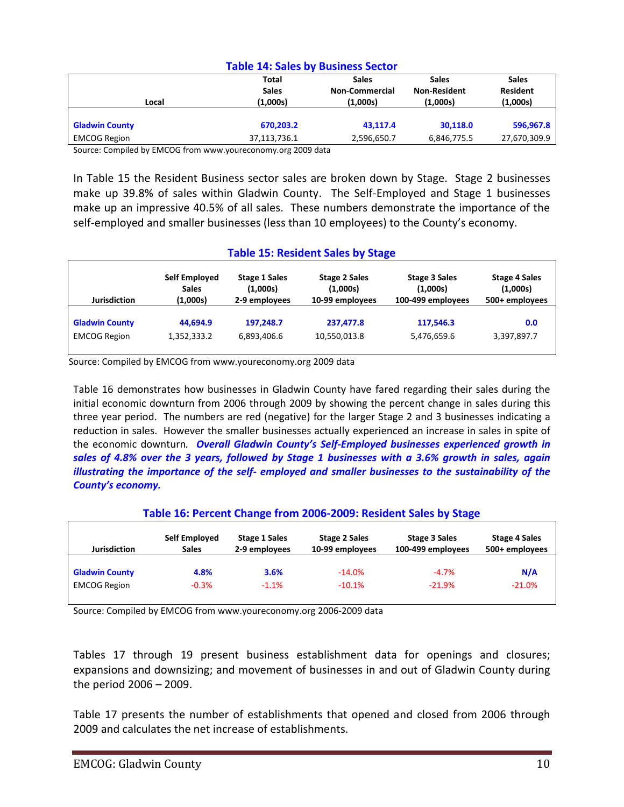#### **Table 14: Sales by Business Sector**

Source: Compiled by EMCOG from www.youreconomy.org 2009 data

In Table 15 the Resident Business sector sales are broken down by Stage. Stage 2 businesses make up 39.8% of sales within Gladwin County. The Self-Employed and Stage 1 businesses make up an impressive 40.5% of all sales. These numbers demonstrate the importance of the self-employed and smaller businesses (less than 10 employees) to the County's economy.

#### **Table 15: Resident Sales by Stage**

| <b>Jurisdiction</b>   | Self Employed | <b>Stage 1 Sales</b> | <b>Stage 2 Sales</b> | <b>Stage 3 Sales</b> | <b>Stage 4 Sales</b> |
|-----------------------|---------------|----------------------|----------------------|----------------------|----------------------|
|                       | <b>Sales</b>  | (1,000s)             | (1,000s)             | (1,000s)             | (1,000s)             |
|                       | (1,000s)      | 2-9 employees        | 10-99 employees      | 100-499 employees    | 500+ employees       |
| <b>Gladwin County</b> | 44.694.9      | 197.248.7            | 237.477.8            | 117,546.3            | 0.0                  |
| <b>EMCOG Region</b>   | 1,352,333.2   | 6,893,406.6          | 10,550,013.8         | 5,476,659.6          | 3,397,897.7          |

Source: Compiled by EMCOG from www.youreconomy.org 2009 data

Table 16 demonstrates how businesses in Gladwin County have fared regarding their sales during the initial economic downturn from 2006 through 2009 by showing the percent change in sales during this three year period. The numbers are red (negative) for the larger Stage 2 and 3 businesses indicating a reduction in sales. However the smaller businesses actually experienced an increase in sales in spite of the economic downturn*. Overall Gladwin County's Self-Employed businesses experienced growth in sales of 4.8% over the 3 years, followed by Stage 1 businesses with a 3.6% growth in sales, again illustrating the importance of the self- employed and smaller businesses to the sustainability of the County's economy.*

#### **Table 16: Percent Change from 2006-2009: Resident Sales by Stage Jurisdiction Self Employed Sales Stage 1 Sales 2-9 employees Stage 2 Sales 10-99 employees Stage 3 Sales 100-499 employees Stage 4 Sales 500+ employees Gladwin County 4.8% 3.6%** -14.0% -4.7% **N/A** EMCOG Region  $-0.3\%$  -1.1% -10.1% -21.9% -21.0% -21.0%

Source: Compiled by EMCOG from www.youreconomy.org 2006-2009 data

Tables 17 through 19 present business establishment data for openings and closures; expansions and downsizing; and movement of businesses in and out of Gladwin County during the period 2006 – 2009.

Table 17 presents the number of establishments that opened and closed from 2006 through 2009 and calculates the net increase of establishments.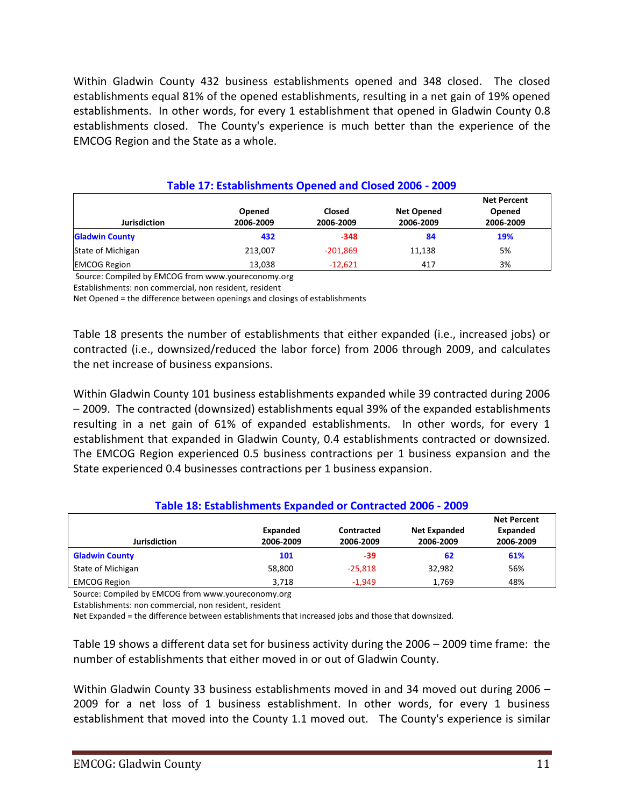Within Gladwin County 432 business establishments opened and 348 closed. The closed establishments equal 81% of the opened establishments, resulting in a net gain of 19% opened establishments. In other words, for every 1 establishment that opened in Gladwin County 0.8 establishments closed. The County's experience is much better than the experience of the EMCOG Region and the State as a whole.

| Table 17: Establishments Opened and Closed 2006 - 2009 |                     |                     |                                |                                           |  |  |
|--------------------------------------------------------|---------------------|---------------------|--------------------------------|-------------------------------------------|--|--|
| <b>Jurisdiction</b>                                    | Opened<br>2006-2009 | Closed<br>2006-2009 | <b>Net Opened</b><br>2006-2009 | <b>Net Percent</b><br>Opened<br>2006-2009 |  |  |
| <b>Gladwin County</b>                                  | 432                 | $-348$              | 84                             | 19%                                       |  |  |
| State of Michigan                                      | 213.007             | $-201.869$          | 11,138                         | 5%                                        |  |  |
| <b>EMCOG Region</b>                                    | 13,038              | $-12.621$           | 417                            | 3%                                        |  |  |

Source: Compiled by EMCOG from www.youreconomy.org

Establishments: non commercial, non resident, resident

Net Opened = the difference between openings and closings of establishments

Table 18 presents the number of establishments that either expanded (i.e., increased jobs) or contracted (i.e., downsized/reduced the labor force) from 2006 through 2009, and calculates the net increase of business expansions.

Within Gladwin County 101 business establishments expanded while 39 contracted during 2006 – 2009. The contracted (downsized) establishments equal 39% of the expanded establishments resulting in a net gain of 61% of expanded establishments. In other words, for every 1 establishment that expanded in Gladwin County, 0.4 establishments contracted or downsized. The EMCOG Region experienced 0.5 business contractions per 1 business expansion and the State experienced 0.4 businesses contractions per 1 business expansion.

#### **Table 18: Establishments Expanded or Contracted 2006 - 2009**

|                       |           |            |                     | <b>Net Percent</b> |
|-----------------------|-----------|------------|---------------------|--------------------|
|                       | Expanded  | Contracted | <b>Net Expanded</b> | Expanded           |
| <b>Jurisdiction</b>   | 2006-2009 | 2006-2009  | 2006-2009           | 2006-2009          |
| <b>Gladwin County</b> | 101       | -39        | 62                  | 61%                |
| State of Michigan     | 58,800    | $-25,818$  | 32,982              | 56%                |
| <b>EMCOG Region</b>   | 3.718     | $-1.949$   | 1.769               | 48%                |

Source: Compiled by EMCOG from www.youreconomy.org

Establishments: non commercial, non resident, resident

Net Expanded = the difference between establishments that increased jobs and those that downsized.

Table 19 shows a different data set for business activity during the 2006 – 2009 time frame: the number of establishments that either moved in or out of Gladwin County.

Within Gladwin County 33 business establishments moved in and 34 moved out during 2006 – 2009 for a net loss of 1 business establishment. In other words, for every 1 business establishment that moved into the County 1.1 moved out. The County's experience is similar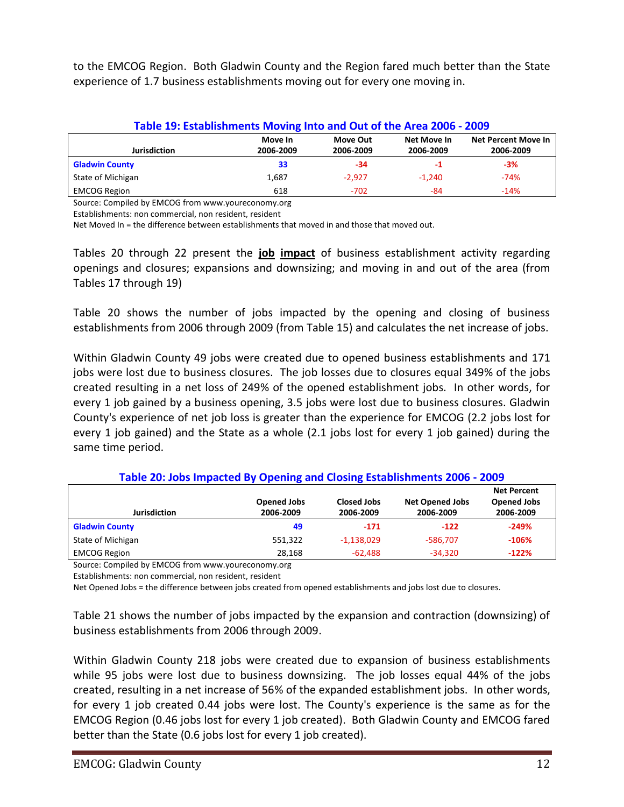to the EMCOG Region. Both Gladwin County and the Region fared much better than the State experience of 1.7 business establishments moving out for every one moving in.

| Table 19: Establishments Moving Into and Out of the Area 2006 - 2009                                                                        |       |          |          |        |  |  |  |
|---------------------------------------------------------------------------------------------------------------------------------------------|-------|----------|----------|--------|--|--|--|
| <b>Net Percent Move In</b><br>Move In<br>Net Move In<br>Move Out<br><b>Jurisdiction</b><br>2006-2009<br>2006-2009<br>2006-2009<br>2006-2009 |       |          |          |        |  |  |  |
| <b>Gladwin County</b>                                                                                                                       | 33    | -34      | -1       | $-3%$  |  |  |  |
| State of Michigan                                                                                                                           | 1,687 | $-2.927$ | $-1.240$ | $-74%$ |  |  |  |
| <b>EMCOG Region</b>                                                                                                                         | 618   | $-702$   | -84      | $-14%$ |  |  |  |
|                                                                                                                                             |       |          |          |        |  |  |  |

Source: Compiled by EMCOG from www.youreconomy.org

Establishments: non commercial, non resident, resident

Net Moved In = the difference between establishments that moved in and those that moved out.

Tables 20 through 22 present the **job impact** of business establishment activity regarding openings and closures; expansions and downsizing; and moving in and out of the area (from Tables 17 through 19)

Table 20 shows the number of jobs impacted by the opening and closing of business establishments from 2006 through 2009 (from Table 15) and calculates the net increase of jobs.

Within Gladwin County 49 jobs were created due to opened business establishments and 171 jobs were lost due to business closures. The job losses due to closures equal 349% of the jobs created resulting in a net loss of 249% of the opened establishment jobs. In other words, for every 1 job gained by a business opening, 3.5 jobs were lost due to business closures. Gladwin County's experience of net job loss is greater than the experience for EMCOG (2.2 jobs lost for every 1 job gained) and the State as a whole (2.1 jobs lost for every 1 job gained) during the same time period.

| <b>Opened Jobs</b><br><b>Closed Jobs</b><br><b>Net Opened Jobs</b> |           |              |            |           |  |
|--------------------------------------------------------------------|-----------|--------------|------------|-----------|--|
| <b>Jurisdiction</b>                                                | 2006-2009 | 2006-2009    | 2006-2009  | 2006-2009 |  |
| <b>Gladwin County</b>                                              | 49        | $-171$       | $-122$     | $-249%$   |  |
| State of Michigan                                                  | 551,322   | $-1,138,029$ | $-586.707$ | $-106%$   |  |
| <b>EMCOG Region</b>                                                | 28,168    | $-62.488$    | $-34.320$  | $-122%$   |  |

**Table 20: Jobs Impacted By Opening and Closing Establishments 2006 - 2009**

Source: Compiled by EMCOG from www.youreconomy.org

Establishments: non commercial, non resident, resident

Net Opened Jobs = the difference between jobs created from opened establishments and jobs lost due to closures.

Table 21 shows the number of jobs impacted by the expansion and contraction (downsizing) of business establishments from 2006 through 2009.

Within Gladwin County 218 jobs were created due to expansion of business establishments while 95 jobs were lost due to business downsizing. The job losses equal 44% of the jobs created, resulting in a net increase of 56% of the expanded establishment jobs. In other words, for every 1 job created 0.44 jobs were lost. The County's experience is the same as for the EMCOG Region (0.46 jobs lost for every 1 job created). Both Gladwin County and EMCOG fared better than the State (0.6 jobs lost for every 1 job created).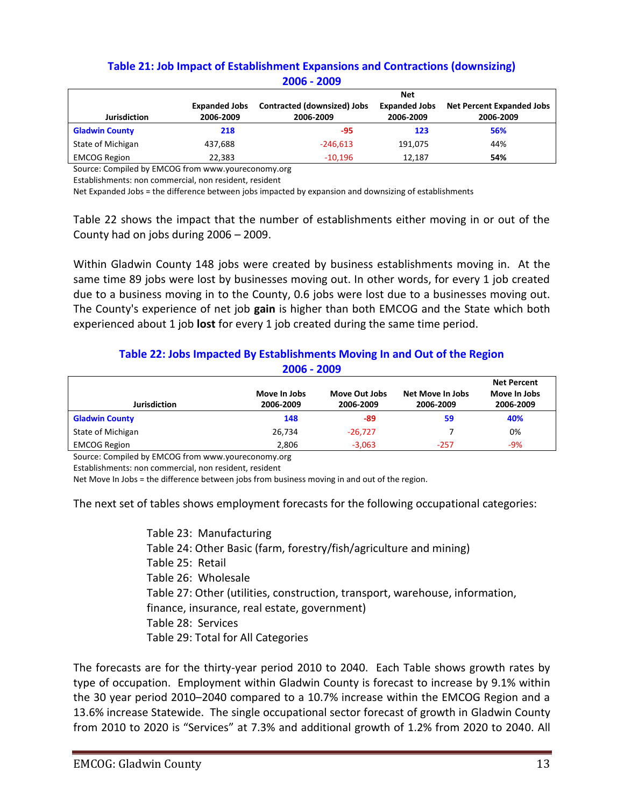#### **Table 21: Job Impact of Establishment Expansions and Contractions (downsizing) 2006 - 2009**

|                       |                      |                             | <b>Net</b>           |                                  |
|-----------------------|----------------------|-----------------------------|----------------------|----------------------------------|
|                       | <b>Expanded Jobs</b> | Contracted (downsized) Jobs | <b>Expanded Jobs</b> | <b>Net Percent Expanded Jobs</b> |
| <b>Jurisdiction</b>   | 2006-2009            | 2006-2009                   | 2006-2009            | 2006-2009                        |
| <b>Gladwin County</b> | 218                  | -95                         | 123                  | 56%                              |
| State of Michigan     | 437.688              | $-246.613$                  | 191.075              | 44%                              |
| <b>EMCOG Region</b>   | 22,383               | $-10.196$                   | 12.187               | 54%                              |

Source: Compiled by EMCOG from www.youreconomy.org

Establishments: non commercial, non resident, resident

Net Expanded Jobs = the difference between jobs impacted by expansion and downsizing of establishments

Table 22 shows the impact that the number of establishments either moving in or out of the County had on jobs during 2006 – 2009.

Within Gladwin County 148 jobs were created by business establishments moving in. At the same time 89 jobs were lost by businesses moving out. In other words, for every 1 job created due to a business moving in to the County, 0.6 jobs were lost due to a businesses moving out. The County's experience of net job **gain** is higher than both EMCOG and the State which both experienced about 1 job **lost** for every 1 job created during the same time period.

#### **Table 22: Jobs Impacted By Establishments Moving In and Out of the Region 2006 - 2009**

|                       |              |               |                  | <b>Net Percent</b> |
|-----------------------|--------------|---------------|------------------|--------------------|
|                       | Move In Jobs | Move Out Jobs | Net Move In Jobs | Move In Jobs       |
| Jurisdiction          | 2006-2009    | 2006-2009     | 2006-2009        | 2006-2009          |
| <b>Gladwin County</b> | 148          | -89           | 59               | 40%                |
| State of Michigan     | 26,734       | $-26.727$     |                  | 0%                 |
| <b>EMCOG Region</b>   | 2,806        | $-3,063$      | $-257$           | -9%                |

Source: Compiled by EMCOG from www.youreconomy.org

Establishments: non commercial, non resident, resident

Net Move In Jobs = the difference between jobs from business moving in and out of the region.

The next set of tables shows employment forecasts for the following occupational categories:

Table 23: Manufacturing Table 24: Other Basic (farm, forestry/fish/agriculture and mining) Table 25: Retail Table 26: Wholesale Table 27: Other (utilities, construction, transport, warehouse, information, finance, insurance, real estate, government) Table 28: Services Table 29: Total for All Categories

The forecasts are for the thirty-year period 2010 to 2040. Each Table shows growth rates by type of occupation. Employment within Gladwin County is forecast to increase by 9.1% within the 30 year period 2010–2040 compared to a 10.7% increase within the EMCOG Region and a 13.6% increase Statewide. The single occupational sector forecast of growth in Gladwin County from 2010 to 2020 is "Services" at 7.3% and additional growth of 1.2% from 2020 to 2040. All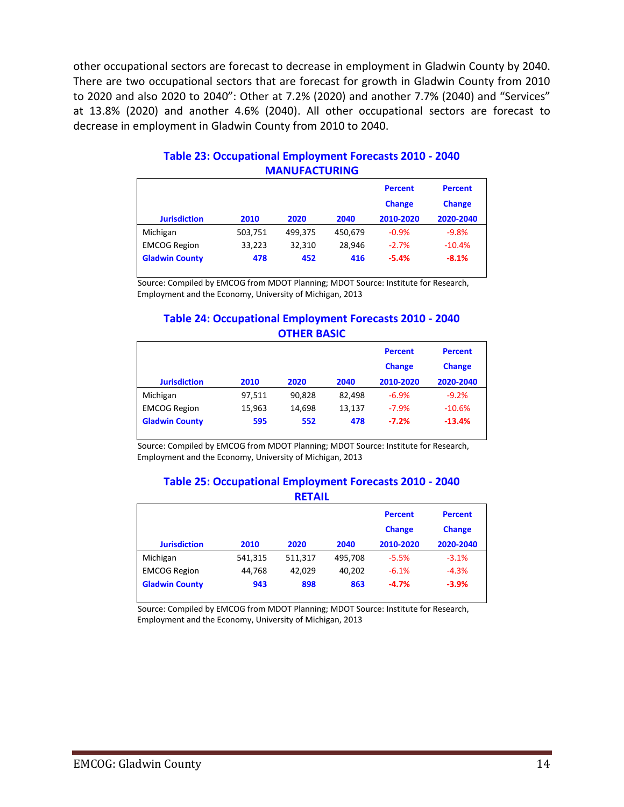other occupational sectors are forecast to decrease in employment in Gladwin County by 2040. There are two occupational sectors that are forecast for growth in Gladwin County from 2010 to 2020 and also 2020 to 2040": Other at 7.2% (2020) and another 7.7% (2040) and "Services" at 13.8% (2020) and another 4.6% (2040). All other occupational sectors are forecast to decrease in employment in Gladwin County from 2010 to 2040.

| <b>Jurisdiction</b>   | 2010    | 2020    | 2040    | <b>Percent</b><br><b>Change</b><br>2010-2020 | <b>Percent</b><br><b>Change</b><br>2020-2040 |
|-----------------------|---------|---------|---------|----------------------------------------------|----------------------------------------------|
| Michigan              | 503,751 | 499,375 | 450,679 | $-0.9%$                                      | $-9.8%$                                      |
| <b>EMCOG Region</b>   | 33,223  | 32,310  | 28,946  | $-2.7%$                                      | $-10.4%$                                     |
| <b>Gladwin County</b> | 478     | 452     | 416     | $-5.4%$                                      | $-8.1%$                                      |

#### **Table 23: Occupational Employment Forecasts 2010 - 2040 MANUFACTURING**

Source: Compiled by EMCOG from MDOT Planning; MDOT Source: Institute for Research, Employment and the Economy, University of Michigan, 2013

#### **Table 24: Occupational Employment Forecasts 2010 - 2040 OTHER BASIC**

|                       |        |        |        | <b>Percent</b><br><b>Change</b> | <b>Percent</b><br><b>Change</b> |
|-----------------------|--------|--------|--------|---------------------------------|---------------------------------|
| <b>Jurisdiction</b>   | 2010   | 2020   | 2040   | 2010-2020                       | 2020-2040                       |
| Michigan              | 97,511 | 90.828 | 82.498 | $-6.9%$                         | $-9.2%$                         |
| <b>EMCOG Region</b>   | 15,963 | 14.698 | 13,137 | $-7.9%$                         | $-10.6%$                        |
| <b>Gladwin County</b> | 595    | 552    | 478    | $-7.2%$                         | $-13.4%$                        |

Source: Compiled by EMCOG from MDOT Planning; MDOT Source: Institute for Research, Employment and the Economy, University of Michigan, 2013

#### **Table 25: Occupational Employment Forecasts 2010 - 2040 RETAIL**

| -------               |         |         |         |                                              |                                              |  |
|-----------------------|---------|---------|---------|----------------------------------------------|----------------------------------------------|--|
| <b>Jurisdiction</b>   | 2010    | 2020    | 2040    | <b>Percent</b><br><b>Change</b><br>2010-2020 | <b>Percent</b><br><b>Change</b><br>2020-2040 |  |
|                       |         |         |         |                                              |                                              |  |
| Michigan              | 541,315 | 511,317 | 495,708 | $-5.5%$                                      | $-3.1%$                                      |  |
| <b>EMCOG Region</b>   | 44,768  | 42.029  | 40.202  | $-6.1%$                                      | $-4.3%$                                      |  |
| <b>Gladwin County</b> | 943     | 898     | 863     | $-4.7%$                                      | $-3.9%$                                      |  |
|                       |         |         |         |                                              |                                              |  |

Source: Compiled by EMCOG from MDOT Planning; MDOT Source: Institute for Research, Employment and the Economy, University of Michigan, 2013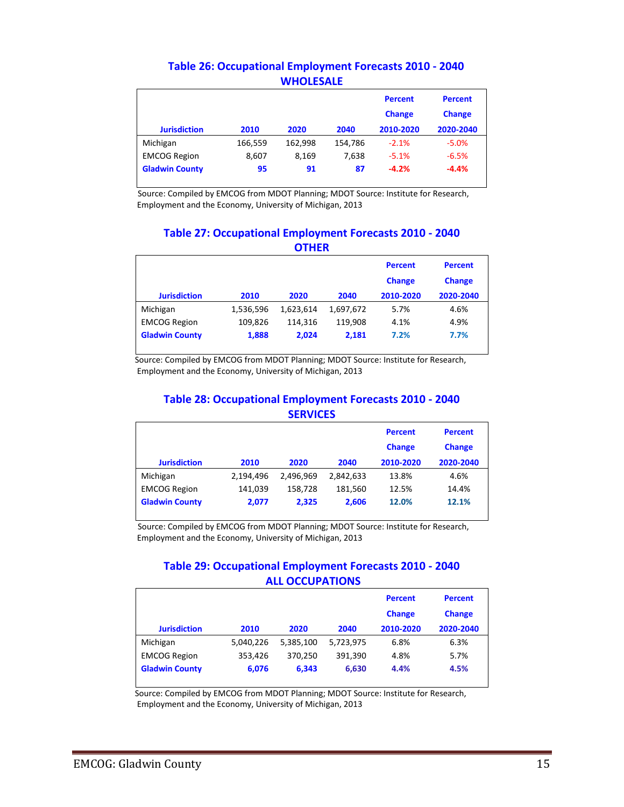|                       |         |         |         | <b>Percent</b><br><b>Change</b> | <b>Percent</b><br><b>Change</b> |
|-----------------------|---------|---------|---------|---------------------------------|---------------------------------|
| <b>Jurisdiction</b>   | 2010    | 2020    | 2040    | 2010-2020                       | 2020-2040                       |
| Michigan              | 166,559 | 162,998 | 154,786 | $-2.1%$                         | $-5.0%$                         |
| <b>EMCOG Region</b>   | 8,607   | 8,169   | 7.638   | $-5.1%$                         | $-6.5%$                         |
| <b>Gladwin County</b> | 95      | 91      | 87      | $-4.2%$                         | $-4.4%$                         |

#### **Table 26: Occupational Employment Forecasts 2010 - 2040 WHOLESALE**

Source: Compiled by EMCOG from MDOT Planning; MDOT Source: Institute for Research, Employment and the Economy, University of Michigan, 2013

#### **Table 27: Occupational Employment Forecasts 2010 - 2040 OTHER**

|                       |           |           |           | <b>Percent</b><br><b>Change</b> | <b>Percent</b><br><b>Change</b> |
|-----------------------|-----------|-----------|-----------|---------------------------------|---------------------------------|
| <b>Jurisdiction</b>   | 2010      | 2020      | 2040      | 2010-2020                       | 2020-2040                       |
| Michigan              | 1,536,596 | 1,623,614 | 1,697,672 | 5.7%                            | 4.6%                            |
| <b>EMCOG Region</b>   | 109.826   | 114,316   | 119.908   | 4.1%                            | 4.9%                            |
| <b>Gladwin County</b> | 1,888     | 2.024     | 2,181     | 7.2%                            | 7.7%                            |

Source: Compiled by EMCOG from MDOT Planning; MDOT Source: Institute for Research, Employment and the Economy, University of Michigan, 2013

#### **Table 28: Occupational Employment Forecasts 2010 - 2040 SERVICES**

| <b>Jurisdiction</b>   | 2010      | 2020      | 2040      | <b>Percent</b><br><b>Change</b><br>2010-2020 | <b>Percent</b><br><b>Change</b><br>2020-2040 |
|-----------------------|-----------|-----------|-----------|----------------------------------------------|----------------------------------------------|
| Michigan              | 2,194,496 | 2.496.969 | 2,842,633 | 13.8%                                        | 4.6%                                         |
| <b>EMCOG Region</b>   | 141,039   | 158,728   | 181,560   | 12.5%                                        | 14.4%                                        |
| <b>Gladwin County</b> | 2,077     | 2,325     | 2,606     | 12.0%                                        | 12.1%                                        |

Source: Compiled by EMCOG from MDOT Planning; MDOT Source: Institute for Research, Employment and the Economy, University of Michigan, 2013

#### **Table 29: Occupational Employment Forecasts 2010 - 2040 ALL OCCUPATIONS**

|                       |           |           |           | <b>Percent</b> | <b>Percent</b> |
|-----------------------|-----------|-----------|-----------|----------------|----------------|
|                       |           |           |           | <b>Change</b>  | <b>Change</b>  |
| <b>Jurisdiction</b>   | 2010      | 2020      | 2040      | 2010-2020      | 2020-2040      |
| Michigan              | 5,040,226 | 5,385,100 | 5,723,975 | 6.8%           | 6.3%           |
| <b>EMCOG Region</b>   | 353,426   | 370.250   | 391,390   | 4.8%           | 5.7%           |
| <b>Gladwin County</b> | 6.076     | 6,343     | 6,630     | 4.4%           | 4.5%           |

 Source: Compiled by EMCOG from MDOT Planning; MDOT Source: Institute for Research, Employment and the Economy, University of Michigan, 2013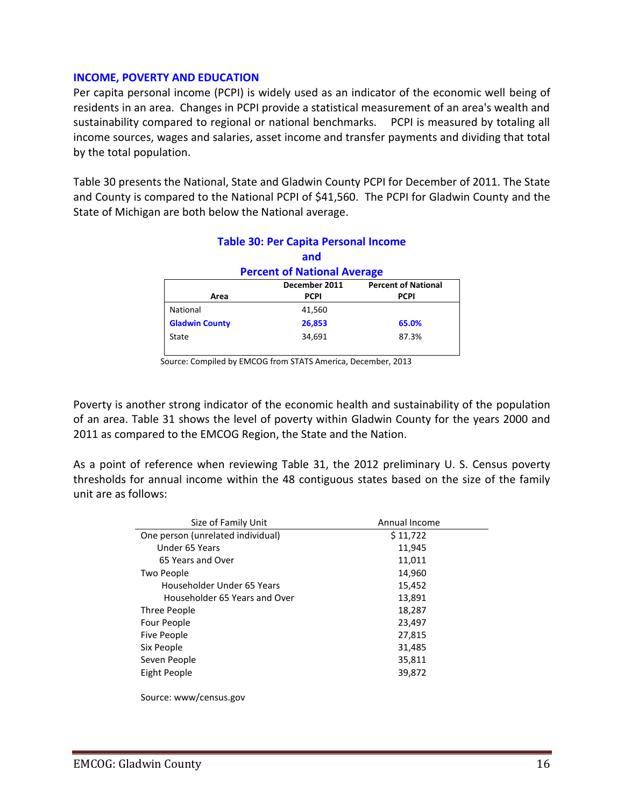#### **INCOME, POVERTY AND EDUCATION**

Per capita personal income (PCPI) is widely used as an indicator of the economic well being of residents in an area. Changes in PCPI provide a statistical measurement of an area's wealth and sustainability compared to regional or national benchmarks. PCPI is measured by totaling all income sources, wages and salaries, asset income and transfer payments and dividing that total by the total population.

Table 30 presents the National, State and Gladwin County PCPI for December of 2011. The State and County is compared to the National PCPI of \$41,560. The PCPI for Gladwin County and the State of Michigan are both below the National average.

| <b>Table 30: Per Capita Personal Income</b> |             |             |  |  |  |  |
|---------------------------------------------|-------------|-------------|--|--|--|--|
|                                             | and         |             |  |  |  |  |
| <b>Percent of National Average</b>          |             |             |  |  |  |  |
| <b>Percent of National</b><br>December 2011 |             |             |  |  |  |  |
| Area                                        | <b>PCPI</b> | <b>PCPI</b> |  |  |  |  |
| National                                    | 41,560      |             |  |  |  |  |
| <b>Gladwin County</b>                       | 26,853      | 65.0%       |  |  |  |  |
| State                                       | 34,691      | 87.3%       |  |  |  |  |
|                                             |             |             |  |  |  |  |

Source: Compiled by EMCOG from STATS America, December, 2013

Poverty is another strong indicator of the economic health and sustainability of the population of an area. Table 31 shows the level of poverty within Gladwin County for the years 2000 and 2011 as compared to the EMCOG Region, the State and the Nation.

As a point of reference when reviewing Table 31, the 2012 preliminary U. S. Census poverty thresholds for annual income within the 48 contiguous states based on the size of the family unit are as follows:

| Size of Family Unit               | Annual Income |
|-----------------------------------|---------------|
| One person (unrelated individual) | \$11,722      |
| Under 65 Years                    | 11,945        |
| 65 Years and Over                 | 11,011        |
| Two People                        | 14,960        |
| Householder Under 65 Years        | 15,452        |
| Householder 65 Years and Over     | 13,891        |
| Three People                      | 18,287        |
| Four People                       | 23,497        |
| Five People                       | 27,815        |
| Six People                        | 31,485        |
| Seven People                      | 35,811        |
| Eight People                      | 39,872        |
|                                   |               |
|                                   |               |

Source: www/census.gov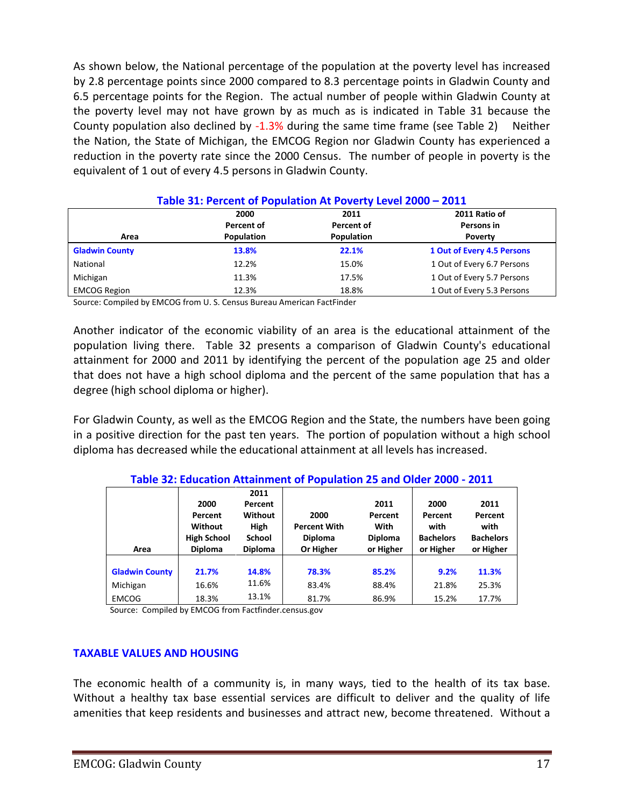As shown below, the National percentage of the population at the poverty level has increased by 2.8 percentage points since 2000 compared to 8.3 percentage points in Gladwin County and 6.5 percentage points for the Region. The actual number of people within Gladwin County at the poverty level may not have grown by as much as is indicated in Table 31 because the County population also declined by -1.3% during the same time frame (see Table 2) Neither the Nation, the State of Michigan, the EMCOG Region nor Gladwin County has experienced a reduction in the poverty rate since the 2000 Census. The number of people in poverty is the equivalent of 1 out of every 4.5 persons in Gladwin County.

|                       | <u> Table 51. Percent of Population At Poverty Level 2000 – 2011</u> |            |                            |  |  |  |  |
|-----------------------|----------------------------------------------------------------------|------------|----------------------------|--|--|--|--|
|                       | 2000                                                                 | 2011       | 2011 Ratio of              |  |  |  |  |
|                       | Percent of                                                           | Percent of | Persons in                 |  |  |  |  |
| Area                  | Population                                                           | Population | <b>Poverty</b>             |  |  |  |  |
| <b>Gladwin County</b> | 13.8%                                                                | 22.1%      | 1 Out of Every 4.5 Persons |  |  |  |  |
| National              | 12.2%                                                                | 15.0%      | 1 Out of Every 6.7 Persons |  |  |  |  |
| Michigan              | 11.3%                                                                | 17.5%      | 1 Out of Every 5.7 Persons |  |  |  |  |
| <b>EMCOG Region</b>   | 12.3%                                                                | 18.8%      | 1 Out of Every 5.3 Persons |  |  |  |  |

#### **Table 31: Percent of Population At Poverty Level 2000 – 2011**

Source: Compiled by EMCOG from U. S. Census Bureau American FactFinder

Another indicator of the economic viability of an area is the educational attainment of the population living there. Table 32 presents a comparison of Gladwin County's educational attainment for 2000 and 2011 by identifying the percent of the population age 25 and older that does not have a high school diploma and the percent of the same population that has a degree (high school diploma or higher).

For Gladwin County, as well as the EMCOG Region and the State, the numbers have been going in a positive direction for the past ten years. The portion of population without a high school diploma has decreased while the educational attainment at all levels has increased.

|                       | Table 32: Education Attainment of Population 25 and Older 2000 - 2011 |                |                     |                |                  |                  |  |
|-----------------------|-----------------------------------------------------------------------|----------------|---------------------|----------------|------------------|------------------|--|
|                       |                                                                       | 2011           |                     |                |                  |                  |  |
|                       | 2000                                                                  | Percent        |                     | 2011           | 2000             | 2011             |  |
|                       | Percent                                                               | Without        | 2000                | Percent        | Percent          | Percent          |  |
|                       | Without                                                               | High           | <b>Percent With</b> | With           | with             | with             |  |
|                       | <b>High School</b>                                                    | <b>School</b>  | <b>Diploma</b>      | <b>Diploma</b> | <b>Bachelors</b> | <b>Bachelors</b> |  |
| Area                  | <b>Diploma</b>                                                        | <b>Diploma</b> | Or Higher           | or Higher      | or Higher        | or Higher        |  |
|                       |                                                                       |                |                     |                |                  |                  |  |
| <b>Gladwin County</b> | 21.7%                                                                 | 14.8%          | 78.3%               | 85.2%          | 9.2%             | 11.3%            |  |
| Michigan              | 16.6%                                                                 | 11.6%          | 83.4%               | 88.4%          | 21.8%            | 25.3%            |  |
| <b>EMCOG</b>          | 18.3%                                                                 | 13.1%          | 81.7%               | 86.9%          | 15.2%            | 17.7%            |  |

**Table 32: Education Attainment of Population 25 and Older 2000 - 2011**

Source: Compiled by EMCOG from Factfinder.census.gov

#### **TAXABLE VALUES AND HOUSING**

The economic health of a community is, in many ways, tied to the health of its tax base. Without a healthy tax base essential services are difficult to deliver and the quality of life amenities that keep residents and businesses and attract new, become threatened. Without a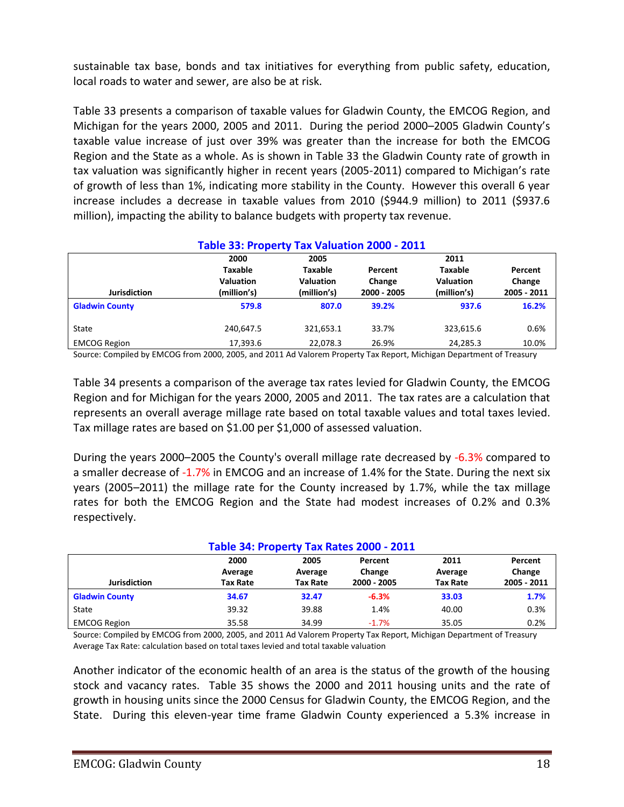sustainable tax base, bonds and tax initiatives for everything from public safety, education, local roads to water and sewer, are also be at risk.

Table 33 presents a comparison of taxable values for Gladwin County, the EMCOG Region, and Michigan for the years 2000, 2005 and 2011. During the period 2000–2005 Gladwin County's taxable value increase of just over 39% was greater than the increase for both the EMCOG Region and the State as a whole. As is shown in Table 33 the Gladwin County rate of growth in tax valuation was significantly higher in recent years (2005-2011) compared to Michigan's rate of growth of less than 1%, indicating more stability in the County. However this overall 6 year increase includes a decrease in taxable values from 2010 (\$944.9 million) to 2011 (\$937.6 million), impacting the ability to balance budgets with property tax revenue.

| Table 33: Property Tax Valuation 2000 - 2011 |                  |                  |             |                  |             |  |  |
|----------------------------------------------|------------------|------------------|-------------|------------------|-------------|--|--|
|                                              | 2000             | 2005             |             | 2011             |             |  |  |
|                                              | Taxable          | <b>Taxable</b>   | Percent     | <b>Taxable</b>   | Percent     |  |  |
|                                              | <b>Valuation</b> | <b>Valuation</b> | Change      | <b>Valuation</b> | Change      |  |  |
| <b>Jurisdiction</b>                          | (million's)      | (million's)      | 2000 - 2005 | (million's)      | 2005 - 2011 |  |  |
| <b>Gladwin County</b>                        | 579.8            | 807.0            | 39.2%       | 937.6            | 16.2%       |  |  |
| State                                        | 240,647.5        | 321,653.1        | 33.7%       | 323,615.6        | 0.6%        |  |  |
| <b>EMCOG Region</b>                          | 17,393.6         | 22,078.3         | 26.9%       | 24,285.3         | 10.0%       |  |  |

Source: Compiled by EMCOG from 2000, 2005, and 2011 Ad Valorem Property Tax Report, Michigan Department of Treasury

Table 34 presents a comparison of the average tax rates levied for Gladwin County, the EMCOG Region and for Michigan for the years 2000, 2005 and 2011. The tax rates are a calculation that represents an overall average millage rate based on total taxable values and total taxes levied. Tax millage rates are based on \$1.00 per \$1,000 of assessed valuation.

During the years 2000–2005 the County's overall millage rate decreased by -6.3% compared to a smaller decrease of -1.7% in EMCOG and an increase of 1.4% for the State. During the next six years (2005–2011) the millage rate for the County increased by 1.7%, while the tax millage rates for both the EMCOG Region and the State had modest increases of 0.2% and 0.3% respectively.

| Table 34: Property Tax Rates 2000 - 2011 |          |                 |             |                 |             |  |
|------------------------------------------|----------|-----------------|-------------|-----------------|-------------|--|
|                                          | 2000     | 2005            | Percent     | 2011            | Percent     |  |
|                                          | Average  | Average         | Change      | Average         | Change      |  |
| <b>Jurisdiction</b>                      | Tax Rate | <b>Tax Rate</b> | 2000 - 2005 | <b>Tax Rate</b> | 2005 - 2011 |  |
| <b>Gladwin County</b>                    | 34.67    | 32.47           | $-6.3%$     | 33.03           | 1.7%        |  |
| State                                    | 39.32    | 39.88           | 1.4%        | 40.00           | 0.3%        |  |
| <b>EMCOG Region</b>                      | 35.58    | 34.99           | $-1.7%$     | 35.05           | 0.2%        |  |

Source: Compiled by EMCOG from 2000, 2005, and 2011 Ad Valorem Property Tax Report, Michigan Department of Treasury Average Tax Rate: calculation based on total taxes levied and total taxable valuation

Another indicator of the economic health of an area is the status of the growth of the housing stock and vacancy rates. Table 35 shows the 2000 and 2011 housing units and the rate of growth in housing units since the 2000 Census for Gladwin County, the EMCOG Region, and the State. During this eleven-year time frame Gladwin County experienced a 5.3% increase in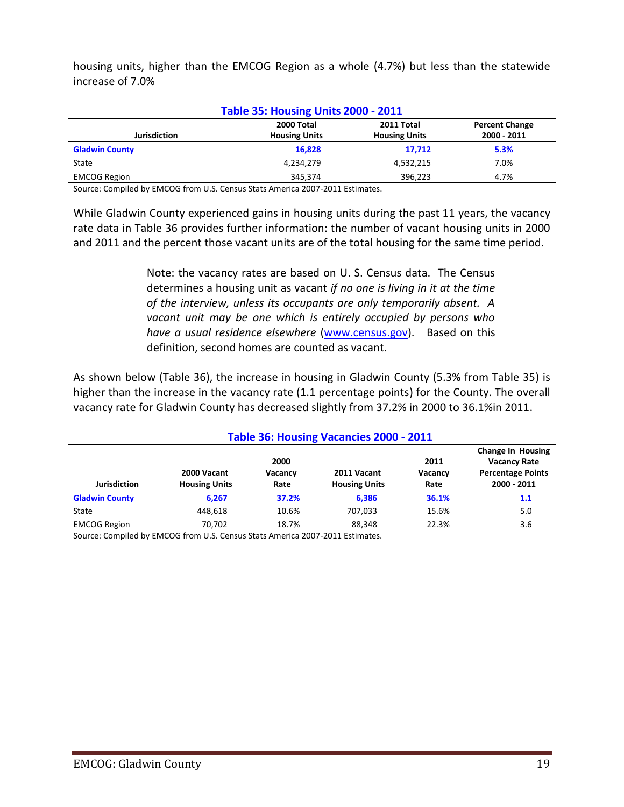housing units, higher than the EMCOG Region as a whole (4.7%) but less than the statewide increase of 7.0%

| <b>Table 35: Housing Units 2000 - 2011</b> |                                    |                                    |                                      |  |  |  |
|--------------------------------------------|------------------------------------|------------------------------------|--------------------------------------|--|--|--|
| <b>Jurisdiction</b>                        | 2000 Total<br><b>Housing Units</b> | 2011 Total<br><b>Housing Units</b> | <b>Percent Change</b><br>2000 - 2011 |  |  |  |
| <b>Gladwin County</b>                      | 16,828                             | 17.712                             | 5.3%                                 |  |  |  |
| State                                      | 4,234,279                          | 4,532,215                          | 7.0%                                 |  |  |  |
| <b>EMCOG Region</b>                        | 345.374                            | 396.223                            | 4.7%                                 |  |  |  |

Source: Compiled by EMCOG from U.S. Census Stats America 2007-2011 Estimates.

While Gladwin County experienced gains in housing units during the past 11 years, the vacancy rate data in Table 36 provides further information: the number of vacant housing units in 2000 and 2011 and the percent those vacant units are of the total housing for the same time period.

> Note: the vacancy rates are based on U. S. Census data. The Census determines a housing unit as vacant *if no one is living in it at the time of the interview, unless its occupants are only temporarily absent. A vacant unit may be one which is entirely occupied by persons who have a usual residence elsewhere* [\(www.census.gov\)](http://www.census.gov/). Based on this definition, second homes are counted as vacant.

As shown below (Table 36), the increase in housing in Gladwin County (5.3% from Table 35) is higher than the increase in the vacancy rate (1.1 percentage points) for the County. The overall vacancy rate for Gladwin County has decreased slightly from 37.2% in 2000 to 36.1%in 2011.

| Table 36: Housing Vacancies 2000 - 2011 |                                     |                 |                                     |                 |                                                 |  |
|-----------------------------------------|-------------------------------------|-----------------|-------------------------------------|-----------------|-------------------------------------------------|--|
|                                         |                                     | 2000            |                                     | 2011            | <b>Change In Housing</b><br><b>Vacancy Rate</b> |  |
| <b>Jurisdiction</b>                     | 2000 Vacant<br><b>Housing Units</b> | Vacancy<br>Rate | 2011 Vacant<br><b>Housing Units</b> | Vacancy<br>Rate | <b>Percentage Points</b><br>2000 - 2011         |  |
| <b>Gladwin County</b>                   | 6.267                               | 37.2%           | 6,386                               | 36.1%           | 1.1                                             |  |
| State                                   | 448,618                             | 10.6%           | 707.033                             | 15.6%           | 5.0                                             |  |
| <b>EMCOG Region</b>                     | 70,702                              | 18.7%           | 88,348                              | 22.3%           | 3.6                                             |  |

Source: Compiled by EMCOG from U.S. Census Stats America 2007-2011 Estimates.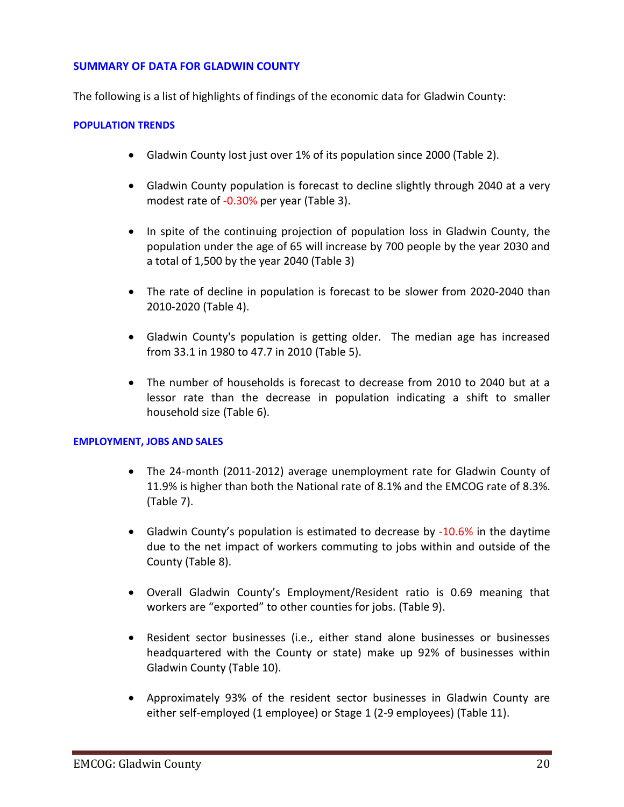#### **SUMMARY OF DATA FOR GLADWIN COUNTY**

The following is a list of highlights of findings of the economic data for Gladwin County:

#### **POPULATION TRENDS**

- Gladwin County lost just over 1% of its population since 2000 (Table 2).
- Gladwin County population is forecast to decline slightly through 2040 at a very modest rate of -0.30% per year (Table 3).
- In spite of the continuing projection of population loss in Gladwin County, the population under the age of 65 will increase by 700 people by the year 2030 and a total of 1,500 by the year 2040 (Table 3)
- The rate of decline in population is forecast to be slower from 2020-2040 than 2010-2020 (Table 4).
- Gladwin County's population is getting older. The median age has increased from 33.1 in 1980 to 47.7 in 2010 (Table 5).
- The number of households is forecast to decrease from 2010 to 2040 but at a lessor rate than the decrease in population indicating a shift to smaller household size (Table 6).

#### **EMPLOYMENT, JOBS AND SALES**

- The 24-month (2011-2012) average unemployment rate for Gladwin County of 11.9% is higher than both the National rate of 8.1% and the EMCOG rate of 8.3%. (Table 7).
- Gladwin County's population is estimated to decrease by -10.6% in the daytime due to the net impact of workers commuting to jobs within and outside of the County (Table 8).
- Overall Gladwin County's Employment/Resident ratio is 0.69 meaning that workers are "exported" to other counties for jobs. (Table 9).
- Resident sector businesses (i.e., either stand alone businesses or businesses headquartered with the County or state) make up 92% of businesses within Gladwin County (Table 10).
- Approximately 93% of the resident sector businesses in Gladwin County are either self-employed (1 employee) or Stage 1 (2-9 employees) (Table 11).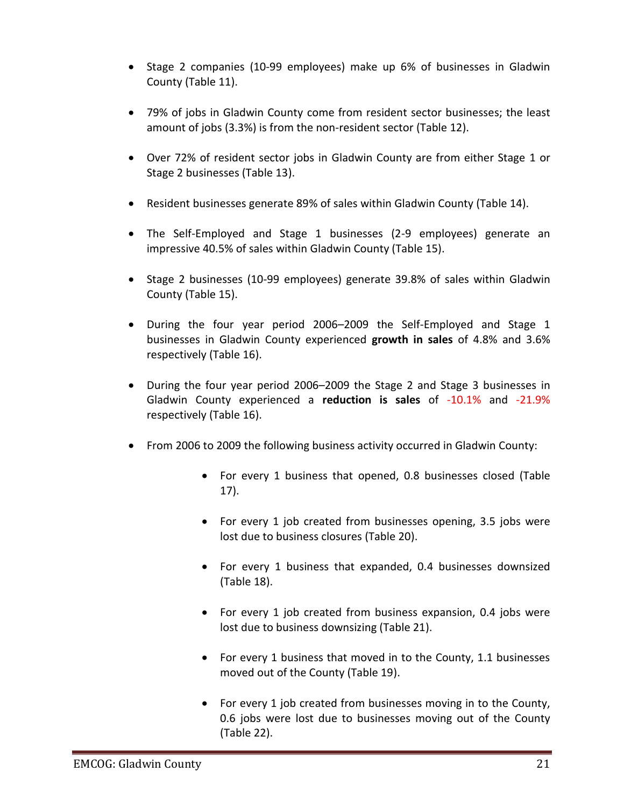- Stage 2 companies (10-99 employees) make up 6% of businesses in Gladwin County (Table 11).
- 79% of jobs in Gladwin County come from resident sector businesses; the least amount of jobs (3.3%) is from the non-resident sector (Table 12).
- Over 72% of resident sector jobs in Gladwin County are from either Stage 1 or Stage 2 businesses (Table 13).
- Resident businesses generate 89% of sales within Gladwin County (Table 14).
- The Self-Employed and Stage 1 businesses (2-9 employees) generate an impressive 40.5% of sales within Gladwin County (Table 15).
- Stage 2 businesses (10-99 employees) generate 39.8% of sales within Gladwin County (Table 15).
- During the four year period 2006–2009 the Self-Employed and Stage 1 businesses in Gladwin County experienced **growth in sales** of 4.8% and 3.6% respectively (Table 16).
- During the four year period 2006–2009 the Stage 2 and Stage 3 businesses in Gladwin County experienced a **reduction is sales** of -10.1% and -21.9% respectively (Table 16).
- From 2006 to 2009 the following business activity occurred in Gladwin County:
	- For every 1 business that opened, 0.8 businesses closed (Table 17).
	- For every 1 job created from businesses opening, 3.5 jobs were lost due to business closures (Table 20).
	- For every 1 business that expanded, 0.4 businesses downsized (Table 18).
	- For every 1 job created from business expansion, 0.4 jobs were lost due to business downsizing (Table 21).
	- For every 1 business that moved in to the County, 1.1 businesses moved out of the County (Table 19).
	- For every 1 job created from businesses moving in to the County, 0.6 jobs were lost due to businesses moving out of the County (Table 22).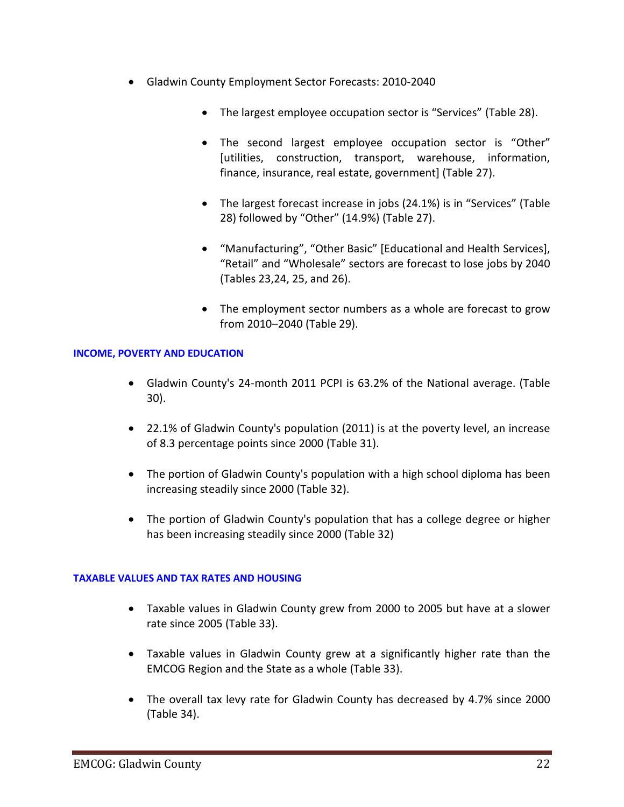- Gladwin County Employment Sector Forecasts: 2010-2040
	- The largest employee occupation sector is "Services" (Table 28).
	- The second largest employee occupation sector is "Other" [utilities, construction, transport, warehouse, information, finance, insurance, real estate, government] (Table 27).
	- The largest forecast increase in jobs (24.1%) is in "Services" (Table 28) followed by "Other" (14.9%) (Table 27).
	- "Manufacturing", "Other Basic" [Educational and Health Services], "Retail" and "Wholesale" sectors are forecast to lose jobs by 2040 (Tables 23,24, 25, and 26).
	- The employment sector numbers as a whole are forecast to grow from 2010–2040 (Table 29).

#### **INCOME, POVERTY AND EDUCATION**

- Gladwin County's 24-month 2011 PCPI is 63.2% of the National average. (Table 30).
- 22.1% of Gladwin County's population (2011) is at the poverty level, an increase of 8.3 percentage points since 2000 (Table 31).
- The portion of Gladwin County's population with a high school diploma has been increasing steadily since 2000 (Table 32).
- The portion of Gladwin County's population that has a college degree or higher has been increasing steadily since 2000 (Table 32)

#### **TAXABLE VALUES AND TAX RATES AND HOUSING**

- Taxable values in Gladwin County grew from 2000 to 2005 but have at a slower rate since 2005 (Table 33).
- Taxable values in Gladwin County grew at a significantly higher rate than the EMCOG Region and the State as a whole (Table 33).
- The overall tax levy rate for Gladwin County has decreased by 4.7% since 2000 (Table 34).